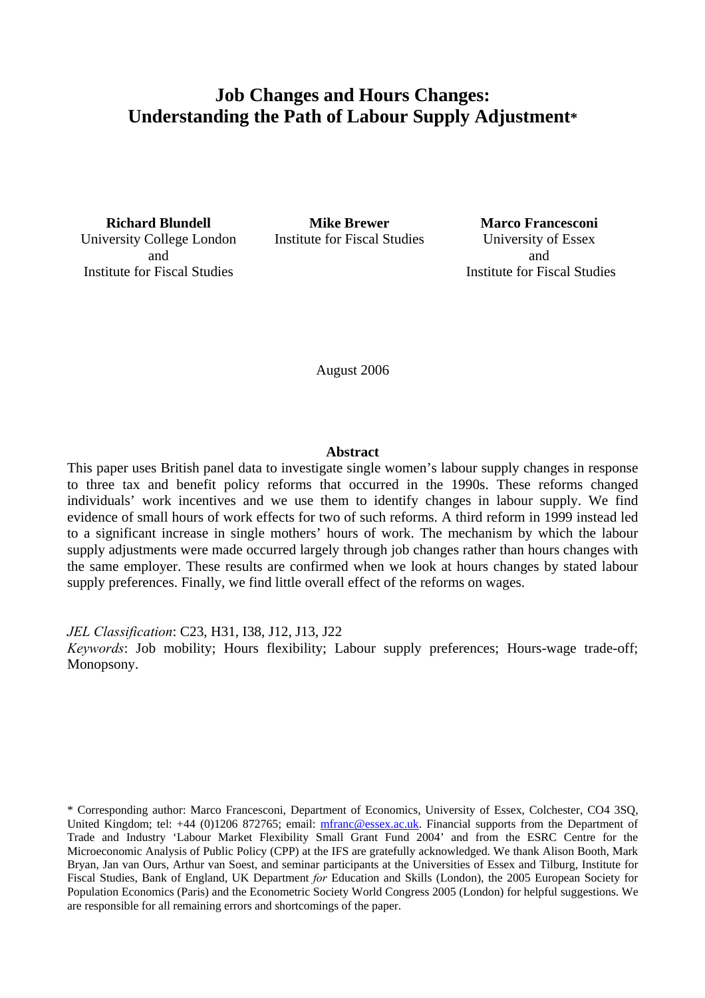# **Job Changes and Hours Changes: Understanding the Path of Labour Supply Adjustment\***

University College London and Institute for Fiscal Studies

**Richard Blundell Mike Brewer Marco Francesconi** Institute for Fiscal Studies University of Essex

and Institute for Fiscal Studies

August 2006

#### **Abstract**

This paper uses British panel data to investigate single women's labour supply changes in response to three tax and benefit policy reforms that occurred in the 1990s. These reforms changed individuals' work incentives and we use them to identify changes in labour supply. We find evidence of small hours of work effects for two of such reforms. A third reform in 1999 instead led to a significant increase in single mothers' hours of work. The mechanism by which the labour supply adjustments were made occurred largely through job changes rather than hours changes with the same employer. These results are confirmed when we look at hours changes by stated labour supply preferences. Finally, we find little overall effect of the reforms on wages.

*JEL Classification*: C23, H31, I38, J12, J13, J22

*Keywords*: Job mobility; Hours flexibility; Labour supply preferences; Hours-wage trade-off; Monopsony.

\* Corresponding author: Marco Francesconi, Department of Economics, University of Essex, Colchester, CO4 3SQ, United Kingdom; tel: +44 (0)1206 872765; email: [mfranc@essex.ac.uk.](mailto:mfranc@essex.ac.uk) Financial supports from the Department of Trade and Industry 'Labour Market Flexibility Small Grant Fund 2004' and from the ESRC Centre for the Microeconomic Analysis of Public Policy (CPP) at the IFS are gratefully acknowledged. We thank Alison Booth, Mark Bryan, Jan van Ours, Arthur van Soest, and seminar participants at the Universities of Essex and Tilburg, Institute for Fiscal Studies, Bank of England, UK Department *for* Education and Skills (London), the 2005 European Society for Population Economics (Paris) and the Econometric Society World Congress 2005 (London) for helpful suggestions. We are responsible for all remaining errors and shortcomings of the paper.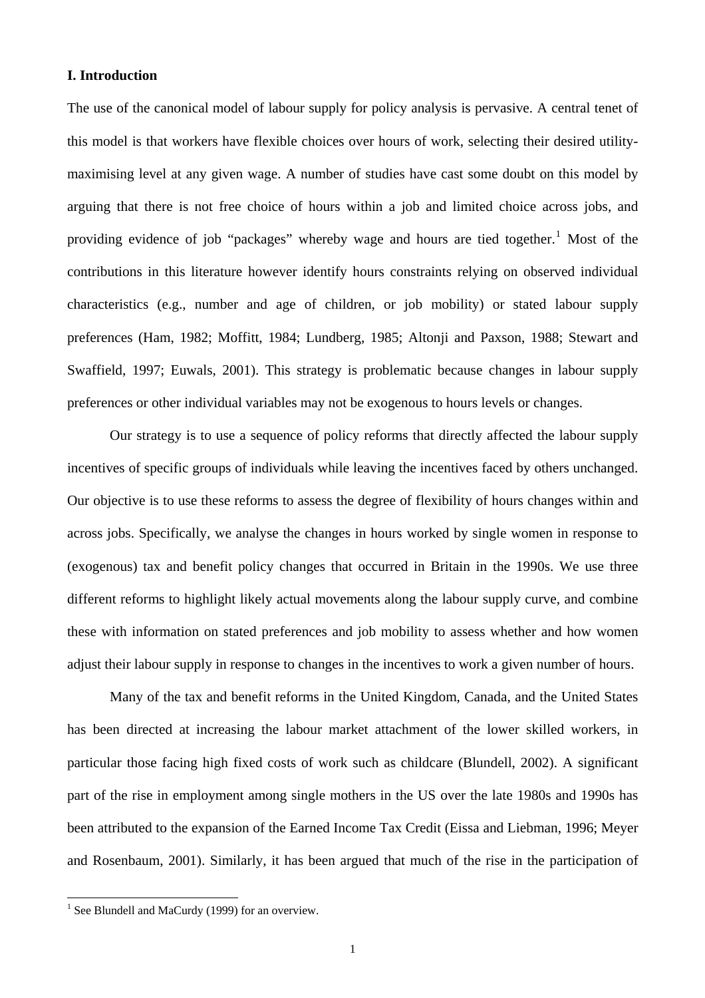## **I. Introduction**

The use of the canonical model of labour supply for policy analysis is pervasive. A central tenet of this model is that workers have flexible choices over hours of work, selecting their desired utilitymaximising level at any given wage. A number of studies have cast some doubt on this model by arguing that there is not free choice of hours within a job and limited choice across jobs, and providing evidence of job "packages" whereby wage and hours are tied together.<sup>[1](#page-1-0)</sup> Most of the contributions in this literature however identify hours constraints relying on observed individual characteristics (e.g., number and age of children, or job mobility) or stated labour supply preferences (Ham, 1982; Moffitt, 1984; Lundberg, 1985; Altonji and Paxson, 1988; Stewart and Swaffield, 1997; Euwals, 2001). This strategy is problematic because changes in labour supply preferences or other individual variables may not be exogenous to hours levels or changes.

Our strategy is to use a sequence of policy reforms that directly affected the labour supply incentives of specific groups of individuals while leaving the incentives faced by others unchanged. Our objective is to use these reforms to assess the degree of flexibility of hours changes within and across jobs. Specifically, we analyse the changes in hours worked by single women in response to (exogenous) tax and benefit policy changes that occurred in Britain in the 1990s. We use three different reforms to highlight likely actual movements along the labour supply curve, and combine these with information on stated preferences and job mobility to assess whether and how women adjust their labour supply in response to changes in the incentives to work a given number of hours.

Many of the tax and benefit reforms in the United Kingdom, Canada, and the United States has been directed at increasing the labour market attachment of the lower skilled workers, in particular those facing high fixed costs of work such as childcare (Blundell, 2002). A significant part of the rise in employment among single mothers in the US over the late 1980s and 1990s has been attributed to the expansion of the Earned Income Tax Credit (Eissa and Liebman, 1996; Meyer and Rosenbaum, 2001). Similarly, it has been argued that much of the rise in the participation of

<span id="page-1-0"></span><sup>&</sup>lt;sup>1</sup> See Blundell and MaCurdy (1999) for an overview.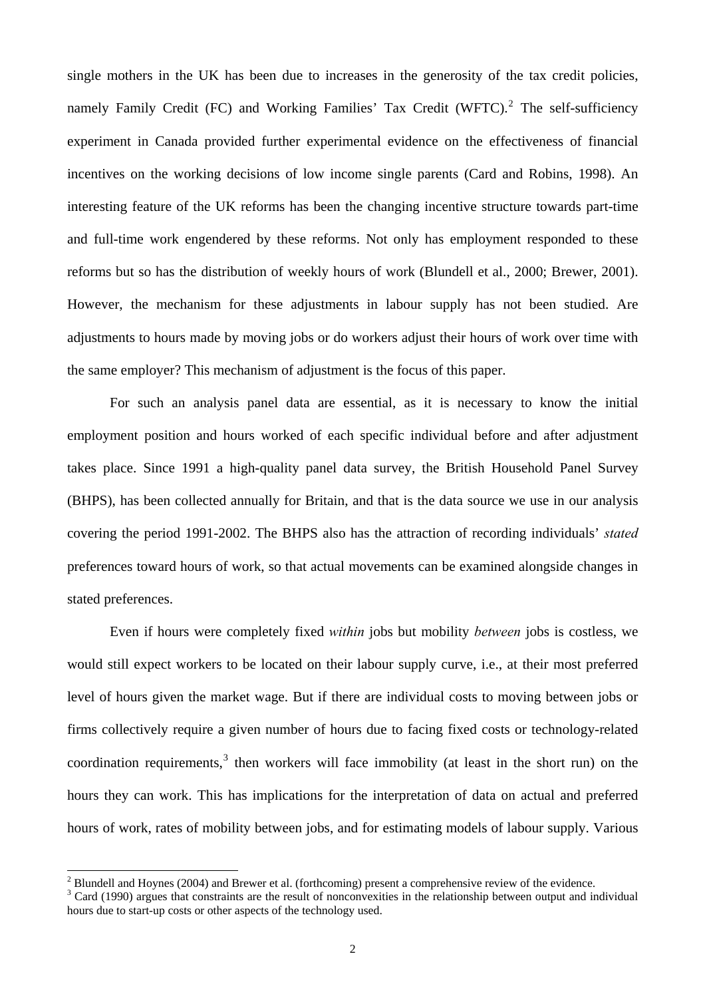single mothers in the UK has been due to increases in the generosity of the tax credit policies, namely Family Credit (FC) and Working Families' Tax Credit (WFTC).<sup>[2](#page-2-0)</sup> The self-sufficiency experiment in Canada provided further experimental evidence on the effectiveness of financial incentives on the working decisions of low income single parents (Card and Robins, 1998). An interesting feature of the UK reforms has been the changing incentive structure towards part-time and full-time work engendered by these reforms. Not only has employment responded to these reforms but so has the distribution of weekly hours of work (Blundell et al., 2000; Brewer, 2001). However, the mechanism for these adjustments in labour supply has not been studied. Are adjustments to hours made by moving jobs or do workers adjust their hours of work over time with the same employer? This mechanism of adjustment is the focus of this paper.

For such an analysis panel data are essential, as it is necessary to know the initial employment position and hours worked of each specific individual before and after adjustment takes place. Since 1991 a high-quality panel data survey, the British Household Panel Survey (BHPS), has been collected annually for Britain, and that is the data source we use in our analysis covering the period 1991-2002. The BHPS also has the attraction of recording individuals' *stated* preferences toward hours of work, so that actual movements can be examined alongside changes in stated preferences.

Even if hours were completely fixed *within* jobs but mobility *between* jobs is costless, we would still expect workers to be located on their labour supply curve, i.e., at their most preferred level of hours given the market wage. But if there are individual costs to moving between jobs or firms collectively require a given number of hours due to facing fixed costs or technology-related coordination requirements,  $3$  then workers will face immobility (at least in the short run) on the hours they can work. This has implications for the interpretation of data on actual and preferred hours of work, rates of mobility between jobs, and for estimating models of labour supply. Various

<sup>&</sup>lt;sup>2</sup> Blundell and Hoynes (2004) and Brewer et al. (forthcoming) present a comprehensive review of the evidence.

<span id="page-2-1"></span><span id="page-2-0"></span>Card (1990) argues that constraints are the result of nonconvexities in the relationship between output and individual hours due to start-up costs or other aspects of the technology used.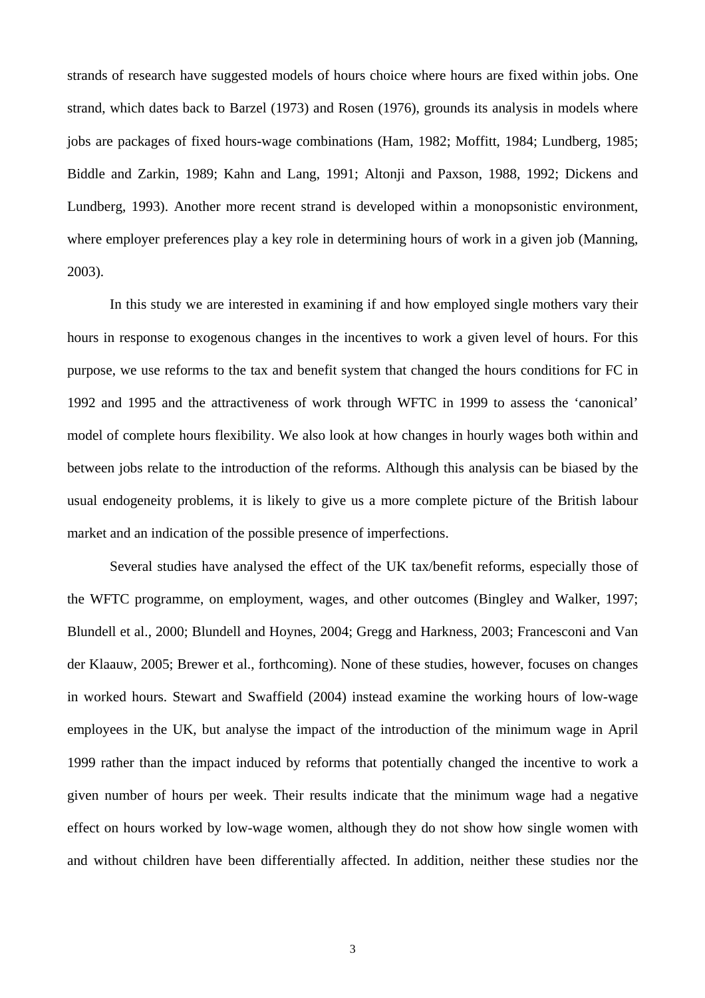strands of research have suggested models of hours choice where hours are fixed within jobs. One strand, which dates back to Barzel (1973) and Rosen (1976), grounds its analysis in models where jobs are packages of fixed hours-wage combinations (Ham, 1982; Moffitt, 1984; Lundberg, 1985; Biddle and Zarkin, 1989; Kahn and Lang, 1991; Altonji and Paxson, 1988, 1992; Dickens and Lundberg, 1993). Another more recent strand is developed within a monopsonistic environment, where employer preferences play a key role in determining hours of work in a given job (Manning, 2003).

In this study we are interested in examining if and how employed single mothers vary their hours in response to exogenous changes in the incentives to work a given level of hours. For this purpose, we use reforms to the tax and benefit system that changed the hours conditions for FC in 1992 and 1995 and the attractiveness of work through WFTC in 1999 to assess the 'canonical' model of complete hours flexibility. We also look at how changes in hourly wages both within and between jobs relate to the introduction of the reforms. Although this analysis can be biased by the usual endogeneity problems, it is likely to give us a more complete picture of the British labour market and an indication of the possible presence of imperfections.

Several studies have analysed the effect of the UK tax/benefit reforms, especially those of the WFTC programme, on employment, wages, and other outcomes (Bingley and Walker, 1997; Blundell et al., 2000; Blundell and Hoynes, 2004; Gregg and Harkness, 2003; Francesconi and Van der Klaauw, 2005; Brewer et al., forthcoming). None of these studies, however, focuses on changes in worked hours. Stewart and Swaffield (2004) instead examine the working hours of low-wage employees in the UK, but analyse the impact of the introduction of the minimum wage in April 1999 rather than the impact induced by reforms that potentially changed the incentive to work a given number of hours per week. Their results indicate that the minimum wage had a negative effect on hours worked by low-wage women, although they do not show how single women with and without children have been differentially affected. In addition, neither these studies nor the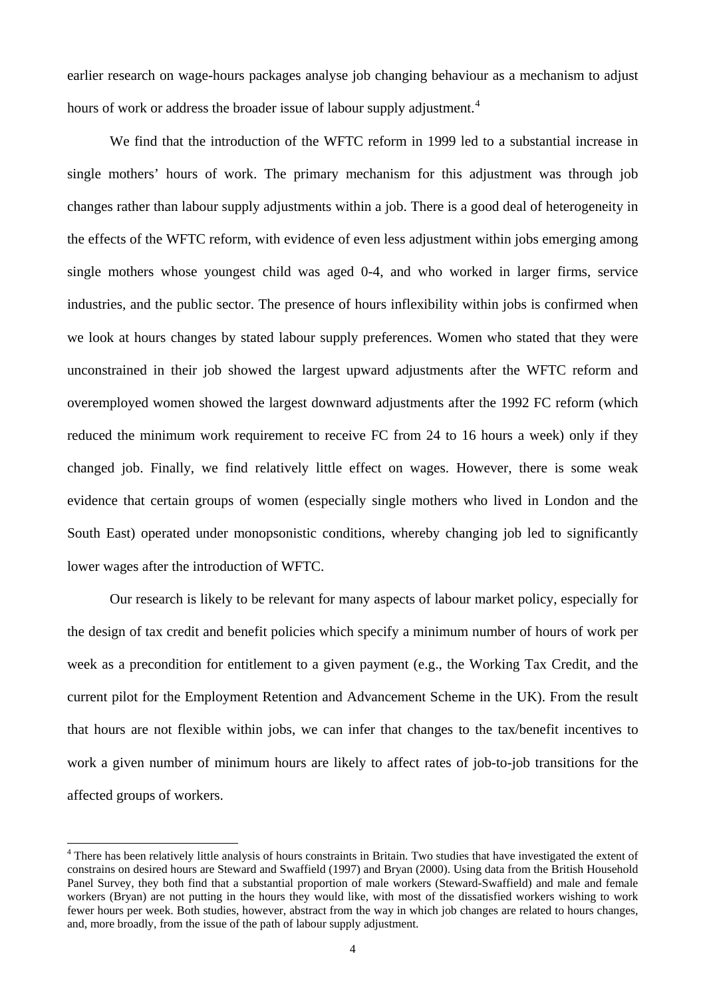earlier research on wage-hours packages analyse job changing behaviour as a mechanism to adjust hours of work or address the broader issue of labour supply adjustment.<sup>[4](#page-4-0)</sup>

We find that the introduction of the WFTC reform in 1999 led to a substantial increase in single mothers' hours of work. The primary mechanism for this adjustment was through job changes rather than labour supply adjustments within a job. There is a good deal of heterogeneity in the effects of the WFTC reform, with evidence of even less adjustment within jobs emerging among single mothers whose youngest child was aged 0-4, and who worked in larger firms, service industries, and the public sector. The presence of hours inflexibility within jobs is confirmed when we look at hours changes by stated labour supply preferences. Women who stated that they were unconstrained in their job showed the largest upward adjustments after the WFTC reform and overemployed women showed the largest downward adjustments after the 1992 FC reform (which reduced the minimum work requirement to receive FC from 24 to 16 hours a week) only if they changed job. Finally, we find relatively little effect on wages. However, there is some weak evidence that certain groups of women (especially single mothers who lived in London and the South East) operated under monopsonistic conditions, whereby changing job led to significantly lower wages after the introduction of WFTC.

Our research is likely to be relevant for many aspects of labour market policy, especially for the design of tax credit and benefit policies which specify a minimum number of hours of work per week as a precondition for entitlement to a given payment (e.g., the Working Tax Credit, and the current pilot for the Employment Retention and Advancement Scheme in the UK). From the result that hours are not flexible within jobs, we can infer that changes to the tax/benefit incentives to work a given number of minimum hours are likely to affect rates of job-to-job transitions for the affected groups of workers.

<span id="page-4-0"></span><sup>&</sup>lt;sup>4</sup> There has been relatively little analysis of hours constraints in Britain. Two studies that have investigated the extent of constrains on desired hours are Steward and Swaffield (1997) and Bryan (2000). Using data from the British Household Panel Survey, they both find that a substantial proportion of male workers (Steward-Swaffield) and male and female workers (Bryan) are not putting in the hours they would like, with most of the dissatisfied workers wishing to work fewer hours per week. Both studies, however, abstract from the way in which job changes are related to hours changes, and, more broadly, from the issue of the path of labour supply adjustment.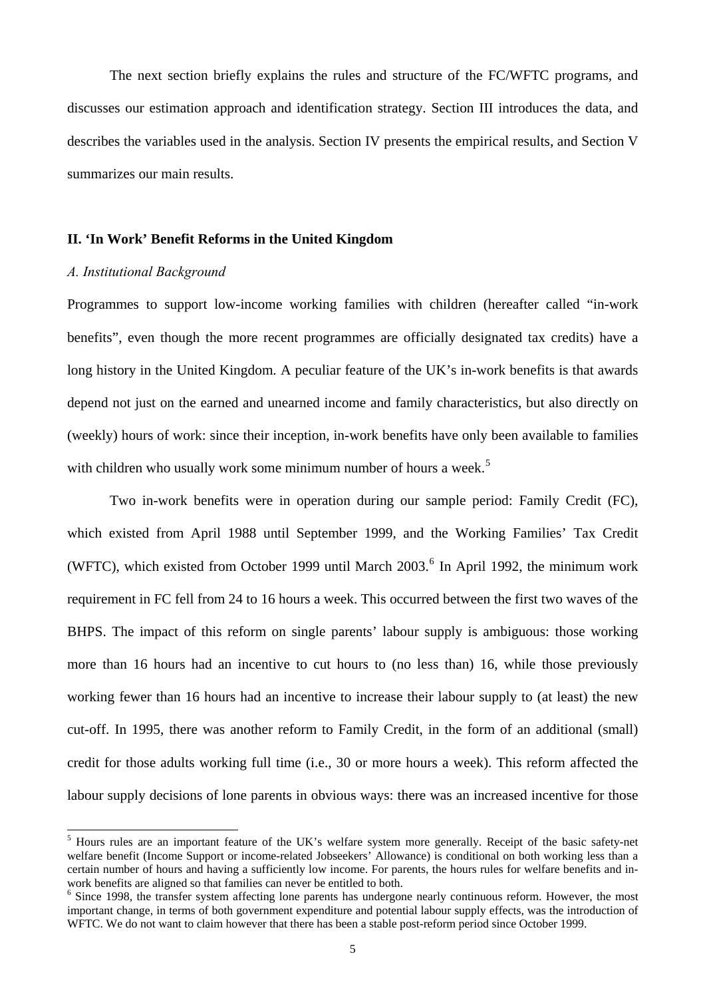The next section briefly explains the rules and structure of the FC/WFTC programs, and discusses our estimation approach and identification strategy. Section III introduces the data, and describes the variables used in the analysis. Section IV presents the empirical results, and Section V summarizes our main results.

## **II. 'In Work' Benefit Reforms in the United Kingdom**

## *A. Institutional Background*

Programmes to support low-income working families with children (hereafter called "in-work benefits", even though the more recent programmes are officially designated tax credits) have a long history in the United Kingdom. A peculiar feature of the UK's in-work benefits is that awards depend not just on the earned and unearned income and family characteristics, but also directly on (weekly) hours of work: since their inception, in-work benefits have only been available to families with children who usually work some minimum number of hours a week.<sup>[5](#page-5-0)</sup>

Two in-work benefits were in operation during our sample period: Family Credit (FC), which existed from April 1988 until September 1999, and the Working Families' Tax Credit (WFTC), which existed from October 1999 until March  $2003$ .<sup>[6](#page-5-1)</sup> In April 1992, the minimum work requirement in FC fell from 24 to 16 hours a week. This occurred between the first two waves of the BHPS. The impact of this reform on single parents' labour supply is ambiguous: those working more than 16 hours had an incentive to cut hours to (no less than) 16, while those previously working fewer than 16 hours had an incentive to increase their labour supply to (at least) the new cut-off. In 1995, there was another reform to Family Credit, in the form of an additional (small) credit for those adults working full time (i.e., 30 or more hours a week). This reform affected the labour supply decisions of lone parents in obvious ways: there was an increased incentive for those

<span id="page-5-0"></span><sup>&</sup>lt;sup>5</sup> Hours rules are an important feature of the UK's welfare system more generally. Receipt of the basic safety-net welfare benefit (Income Support or income-related Jobseekers' Allowance) is conditional on both working less than a certain number of hours and having a sufficiently low income. For parents, the hours rules for welfare benefits and inwork benefits are aligned so that families can never be entitled to both.

<span id="page-5-1"></span><sup>&</sup>lt;sup>6</sup> Since 1998, the transfer system affecting lone parents has undergone nearly continuous reform. However, the most important change, in terms of both government expenditure and potential labour supply effects, was the introduction of WFTC. We do not want to claim however that there has been a stable post-reform period since October 1999.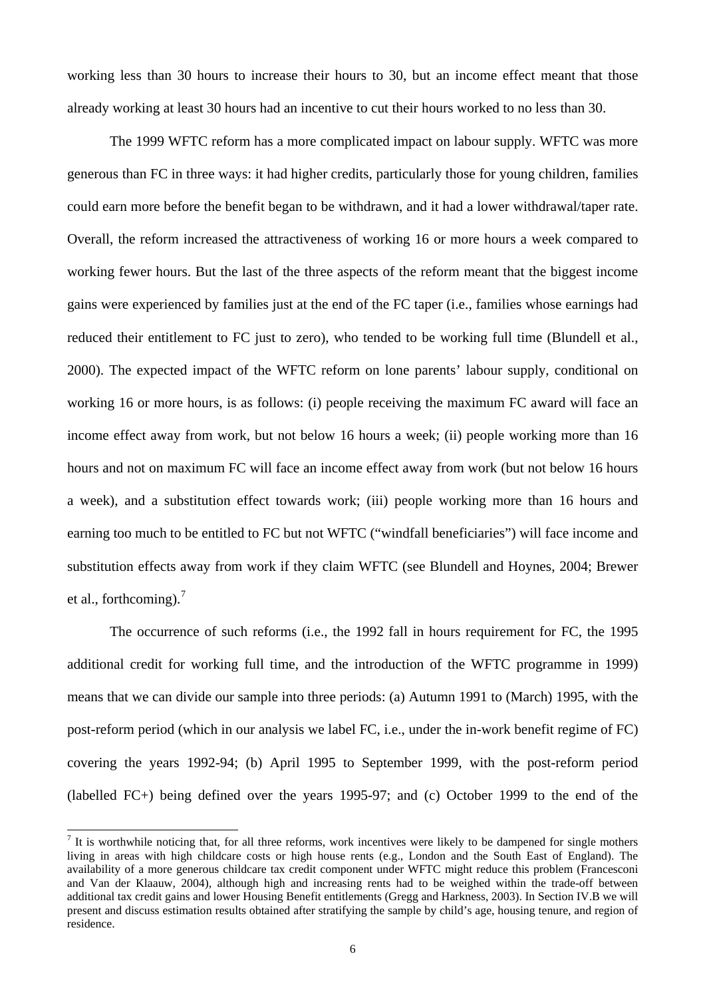working less than 30 hours to increase their hours to 30, but an income effect meant that those already working at least 30 hours had an incentive to cut their hours worked to no less than 30.

The 1999 WFTC reform has a more complicated impact on labour supply. WFTC was more generous than FC in three ways: it had higher credits, particularly those for young children, families could earn more before the benefit began to be withdrawn, and it had a lower withdrawal/taper rate. Overall, the reform increased the attractiveness of working 16 or more hours a week compared to working fewer hours. But the last of the three aspects of the reform meant that the biggest income gains were experienced by families just at the end of the FC taper (i.e., families whose earnings had reduced their entitlement to FC just to zero), who tended to be working full time (Blundell et al., 2000). The expected impact of the WFTC reform on lone parents' labour supply, conditional on working 16 or more hours, is as follows: (i) people receiving the maximum FC award will face an income effect away from work, but not below 16 hours a week; (ii) people working more than 16 hours and not on maximum FC will face an income effect away from work (but not below 16 hours a week), and a substitution effect towards work; (iii) people working more than 16 hours and earning too much to be entitled to FC but not WFTC ("windfall beneficiaries") will face income and substitution effects away from work if they claim WFTC (see Blundell and Hoynes, 2004; Brewer et al., forthcoming).[7](#page-6-0)

The occurrence of such reforms (i.e., the 1992 fall in hours requirement for FC, the 1995 additional credit for working full time, and the introduction of the WFTC programme in 1999) means that we can divide our sample into three periods: (a) Autumn 1991 to (March) 1995, with the post-reform period (which in our analysis we label FC, i.e., under the in-work benefit regime of FC) covering the years 1992-94; (b) April 1995 to September 1999, with the post-reform period (labelled FC+) being defined over the years 1995-97; and (c) October 1999 to the end of the

<span id="page-6-0"></span><sup>&</sup>lt;sup>7</sup> It is worthwhile noticing that, for all three reforms, work incentives were likely to be dampened for single mothers living in areas with high childcare costs or high house rents (e.g., London and the South East of England). The availability of a more generous childcare tax credit component under WFTC might reduce this problem (Francesconi and Van der Klaauw, 2004), although high and increasing rents had to be weighed within the trade-off between additional tax credit gains and lower Housing Benefit entitlements (Gregg and Harkness, 2003). In Section IV.B we will present and discuss estimation results obtained after stratifying the sample by child's age, housing tenure, and region of residence.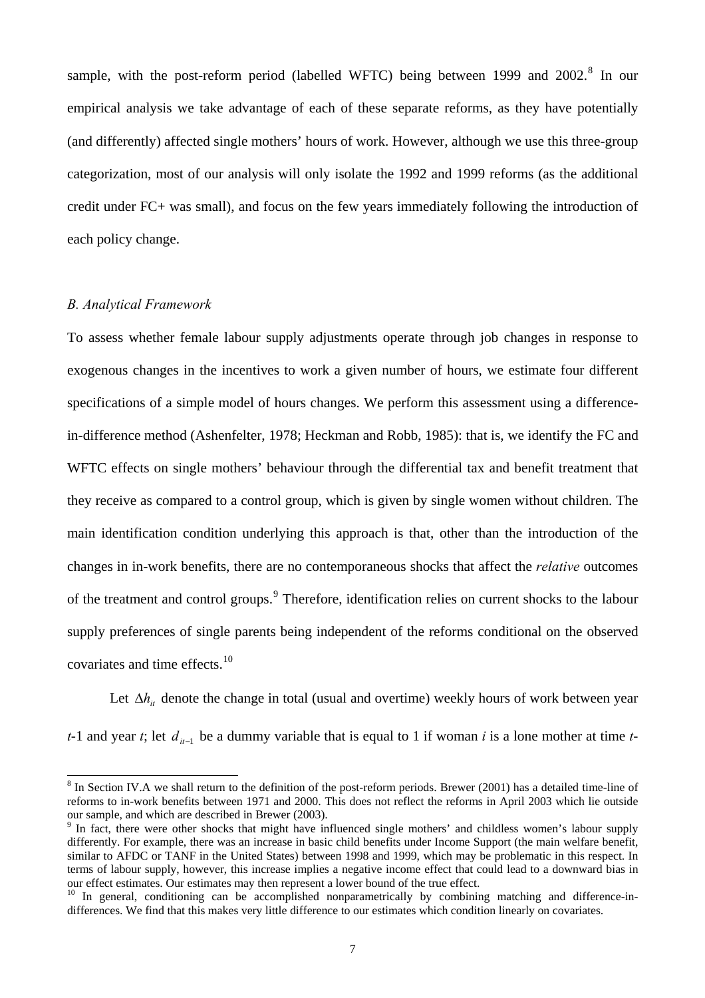sample, with the post-reform period (labelled WFTC) being between 1999 and 2002.<sup>[8](#page-7-0)</sup> In our empirical analysis we take advantage of each of these separate reforms, as they have potentially (and differently) affected single mothers' hours of work. However, although we use this three-group categorization, most of our analysis will only isolate the 1992 and 1999 reforms (as the additional credit under FC+ was small), and focus on the few years immediately following the introduction of each policy change.

# *B. Analytical Framework*

 $\overline{a}$ 

To assess whether female labour supply adjustments operate through job changes in response to exogenous changes in the incentives to work a given number of hours, we estimate four different specifications of a simple model of hours changes. We perform this assessment using a differencein-difference method (Ashenfelter, 1978; Heckman and Robb, 1985): that is, we identify the FC and WFTC effects on single mothers' behaviour through the differential tax and benefit treatment that they receive as compared to a control group, which is given by single women without children. The main identification condition underlying this approach is that, other than the introduction of the changes in in-work benefits, there are no contemporaneous shocks that affect the *relative* outcomes of the treatment and control groups.<sup>[9](#page-7-1)</sup> Therefore, identification relies on current shocks to the labour supply preferences of single parents being independent of the reforms conditional on the observed covariates and time effects.<sup>[10](#page-7-2)</sup>

Let  $\Delta h_{it}$  denote the change in total (usual and overtime) weekly hours of work between year *t*-1 and year *t*; let  $d_{u-1}$  be a dummy variable that is equal to 1 if woman *i* is a lone mother at time *t*-

<span id="page-7-0"></span> $8 \text{ In Section IV.A}$  we shall return to the definition of the post-reform periods. Brewer (2001) has a detailed time-line of reforms to in-work benefits between 1971 and 2000. This does not reflect the reforms in April 2003 which lie outside our sample, and which are described in Brewer (2003).

<span id="page-7-1"></span><sup>&</sup>lt;sup>9</sup> In fact, there were other shocks that might have influenced single mothers' and childless women's labour supply differently. For example, there was an increase in basic child benefits under Income Support (the main welfare benefit, similar to AFDC or TANF in the United States) between 1998 and 1999, which may be problematic in this respect. In terms of labour supply, however, this increase implies a negative income effect that could lead to a downward bias in our effect estimates. Our estimates may then represent a lower bound of the true effect.<br><sup>10</sup> In general, conditioning can be accomplished nonparametrically by combining matching and difference-in-

<span id="page-7-2"></span>differences. We find that this makes very little difference to our estimates which condition linearly on covariates.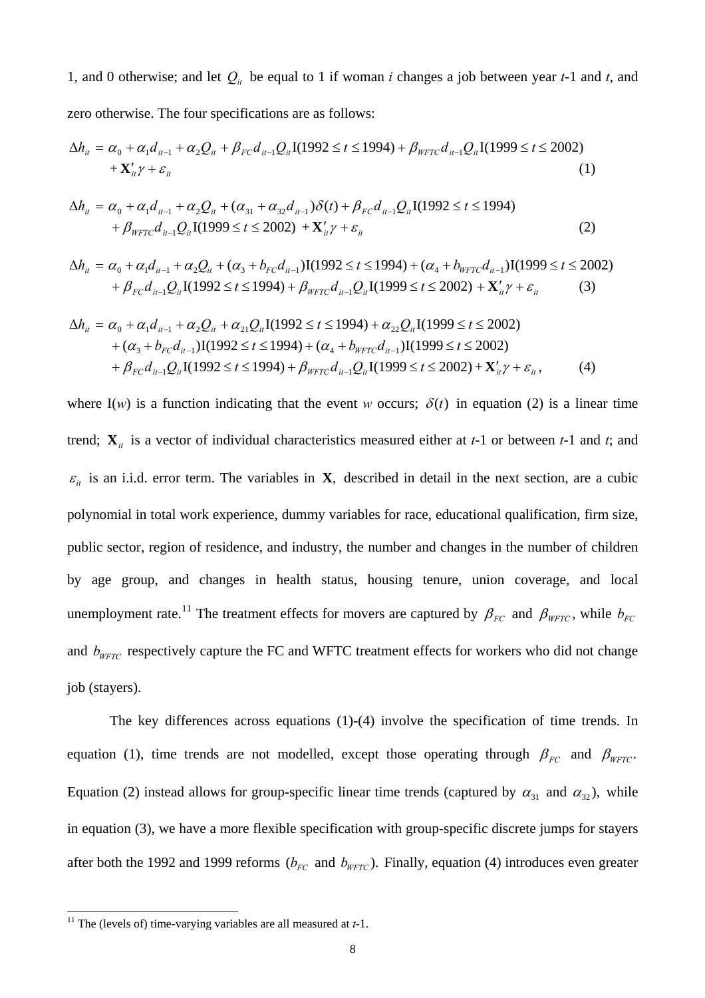1, and 0 otherwise; and let  $Q_i$  be equal to 1 if woman *i* changes a job between year *t*-1 and *t*, and

zero otherwise. The four specifications are as follows:

$$
\Delta h_{it} = \alpha_0 + \alpha_1 d_{it-1} + \alpha_2 Q_{it} + \beta_{FC} d_{it-1} Q_{it} I(1992 \le t \le 1994) + \beta_{WFTC} d_{it-1} Q_{it} I(1999 \le t \le 2002) + \mathbf{X}_{it}' \gamma + \varepsilon_{it}
$$
\n(1)

$$
\Delta h_{it} = \alpha_0 + \alpha_1 d_{it-1} + \alpha_2 Q_{it} + (\alpha_{31} + \alpha_{32} d_{it-1}) \delta(t) + \beta_{FC} d_{it-1} Q_{it} I(1992 \le t \le 1994) + \beta_{WFTC} d_{it-1} Q_{it} I(1999 \le t \le 2002) + \mathbf{X}_{it}' \gamma + \varepsilon_{it}
$$
\n(2)

$$
\Delta h_{it} = \alpha_0 + \alpha_1 d_{it-1} + \alpha_2 Q_{it} + (\alpha_3 + b_{FC} d_{it-1}) \mathbf{I}(1992 \le t \le 1994) + (\alpha_4 + b_{WFTC} d_{it-1}) \mathbf{I}(1999 \le t \le 2002) + \beta_{FC} d_{it-1} Q_{it} \mathbf{I}(1992 \le t \le 1994) + \beta_{WFTC} d_{it-1} Q_{it} \mathbf{I}(1999 \le t \le 2002) + \mathbf{X}_{it}' \gamma + \varepsilon_{it}
$$
(3)

$$
\Delta h_{it} = \alpha_0 + \alpha_1 d_{it-1} + \alpha_2 Q_{it} + \alpha_{21} Q_{it} I(1992 \le t \le 1994) + \alpha_{22} Q_{it} I(1999 \le t \le 2002)
$$
  
+  $(\alpha_3 + b_{FC} d_{it-1}) I(1992 \le t \le 1994) + (\alpha_4 + b_{WFTC} d_{it-1}) I(1999 \le t \le 2002)$   
+  $\beta_{FC} d_{it-1} Q_{it} I(1992 \le t \le 1994) + \beta_{WFTC} d_{it-1} Q_{it} I(1999 \le t \le 2002) + \mathbf{X}_{it}' \gamma + \varepsilon_{it}$ , (4)

where I(*w*) is a function indicating that the event *w* occurs;  $\delta(t)$  in equation (2) is a linear time trend;  $\mathbf{X}_{it}$  is a vector of individual characteristics measured either at *t*-1 or between *t*-1 and *t*; and  $\varepsilon_{it}$  is an i.i.d. error term. The variables in **X**, described in detail in the next section, are a cubic polynomial in total work experience, dummy variables for race, educational qualification, firm size, public sector, region of residence, and industry, the number and changes in the number of children by age group, and changes in health status, housing tenure, union coverage, and local unemployment rate.<sup>11</sup> The treatment effects for movers are captured by  $\beta_{FC}$  and  $\beta_{WFTC}$ , while  $b_{FC}$ and  $b_{\text{WFTC}}$  respectively capture the FC and WFTC treatment effects for workers who did not change job (stayers).

The key differences across equations (1)-(4) involve the specification of time trends. In equation (1), time trends are not modelled, except those operating through  $\beta_{FC}$  and  $\beta_{WFTC}$ . Equation (2) instead allows for group-specific linear time trends (captured by  $\alpha_{31}$  and  $\alpha_{32}$ ), while in equation (3), we have a more flexible specification with group-specific discrete jumps for stayers after both the 1992 and 1999 reforms ( $b_{FC}$  and  $b_{WFTC}$ ). Finally, equation (4) introduces even greater

<sup>&</sup>lt;sup>11</sup> The (levels of) time-varying variables are all measured at  $t-1$ .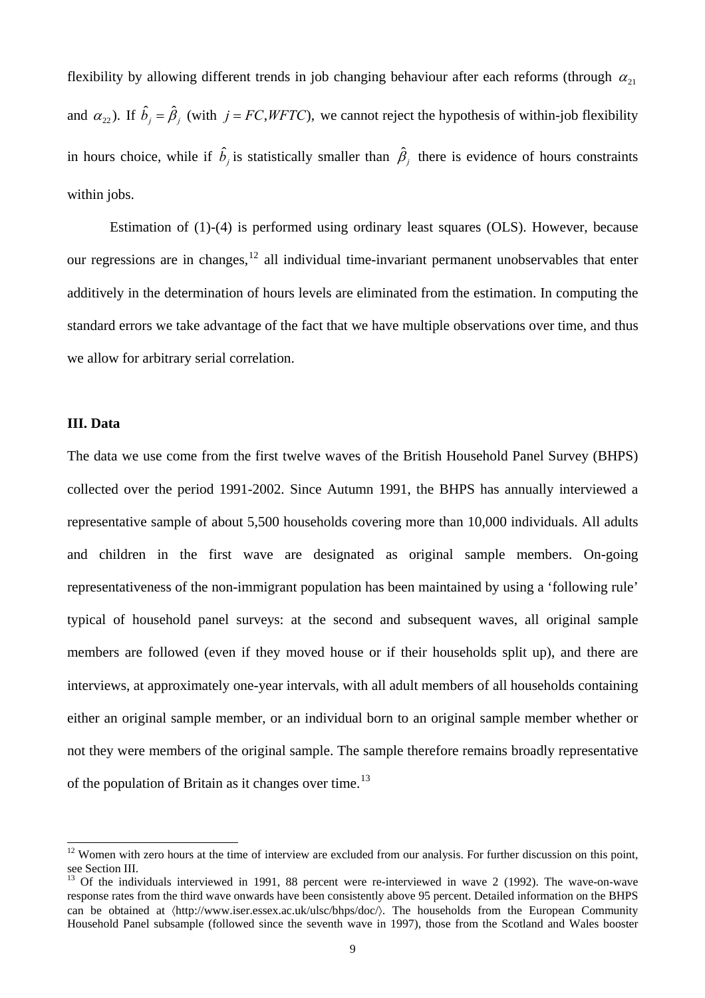flexibility by allowing different trends in job changing behaviour after each reforms (through  $\alpha_{21}$ ) and  $\alpha_{22}$ ). If  $\hat{b}_j = \hat{\beta}_j$  (with  $j = FC, WFTC$ ), we cannot reject the hypothesis of within-job flexibility in hours choice, while if  $\hat{b}_j$  is statistically smaller than  $\hat{\beta}_j$  there is evidence of hours constraints within jobs.

Estimation of (1)-(4) is performed using ordinary least squares (OLS). However, because our regressions are in changes,  $12$  all individual time-invariant permanent unobservables that enter additively in the determination of hours levels are eliminated from the estimation. In computing the standard errors we take advantage of the fact that we have multiple observations over time, and thus we allow for arbitrary serial correlation.

## **III. Data**

 $\overline{a}$ 

The data we use come from the first twelve waves of the British Household Panel Survey (BHPS) collected over the period 1991-2002. Since Autumn 1991, the BHPS has annually interviewed a representative sample of about 5,500 households covering more than 10,000 individuals. All adults and children in the first wave are designated as original sample members. On-going representativeness of the non-immigrant population has been maintained by using a 'following rule' typical of household panel surveys: at the second and subsequent waves, all original sample members are followed (even if they moved house or if their households split up), and there are interviews, at approximately one-year intervals, with all adult members of all households containing either an original sample member, or an individual born to an original sample member whether or not they were members of the original sample. The sample therefore remains broadly representative of the population of Britain as it changes over time.<sup>[13](#page-9-1)</sup>

<span id="page-9-0"></span> $12$  Women with zero hours at the time of interview are excluded from our analysis. For further discussion on this point, see Section III.

<span id="page-9-1"></span> $13$  Of the individuals interviewed in 1991, 88 percent were re-interviewed in wave 2 (1992). The wave-on-wave response rates from the third wave onwards have been consistently above 95 percent. Detailed information on the BHPS can be obtained at  $\langle$ http://www.iser.essex.ac.uk/ulsc/bhps/doc/ $\rangle$ . The households from the European Community Household Panel subsample (followed since the seventh wave in 1997), those from the Scotland and Wales booster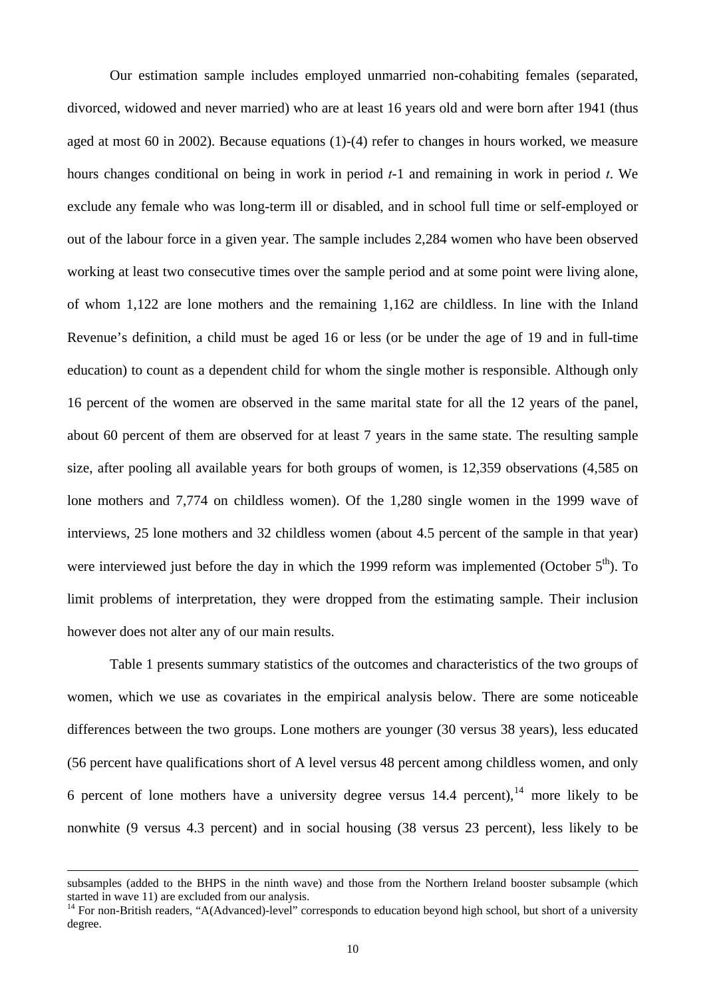Our estimation sample includes employed unmarried non-cohabiting females (separated, divorced, widowed and never married) who are at least 16 years old and were born after 1941 (thus aged at most 60 in 2002). Because equations (1)-(4) refer to changes in hours worked, we measure hours changes conditional on being in work in period *t*-1 and remaining in work in period *t*. We exclude any female who was long-term ill or disabled, and in school full time or self-employed or out of the labour force in a given year. The sample includes 2,284 women who have been observed working at least two consecutive times over the sample period and at some point were living alone, of whom 1,122 are lone mothers and the remaining 1,162 are childless. In line with the Inland Revenue's definition, a child must be aged 16 or less (or be under the age of 19 and in full-time education) to count as a dependent child for whom the single mother is responsible. Although only 16 percent of the women are observed in the same marital state for all the 12 years of the panel, about 60 percent of them are observed for at least 7 years in the same state. The resulting sample size, after pooling all available years for both groups of women, is 12,359 observations (4,585 on lone mothers and 7,774 on childless women). Of the 1,280 single women in the 1999 wave of interviews, 25 lone mothers and 32 childless women (about 4.5 percent of the sample in that year) were interviewed just before the day in which the 1999 reform was implemented (October  $5<sup>th</sup>$ ). To limit problems of interpretation, they were dropped from the estimating sample. Their inclusion however does not alter any of our main results.

 Table 1 presents summary statistics of the outcomes and characteristics of the two groups of women, which we use as covariates in the empirical analysis below. There are some noticeable differences between the two groups. Lone mothers are younger (30 versus 38 years), less educated (56 percent have qualifications short of A level versus 48 percent among childless women, and only 6 percent of lone mothers have a university degree versus  $14.4$  $14.4$  percent), <sup>14</sup> more likely to be nonwhite (9 versus 4.3 percent) and in social housing (38 versus 23 percent), less likely to be

subsamples (added to the BHPS in the ninth wave) and those from the Northern Ireland booster subsample (which started in wave 11) are excluded from our analysis.<br><sup>14</sup> For non-British readers, "A(Advanced)-level" corresponds to education beyond high school, but short of a university

<span id="page-10-0"></span>degree.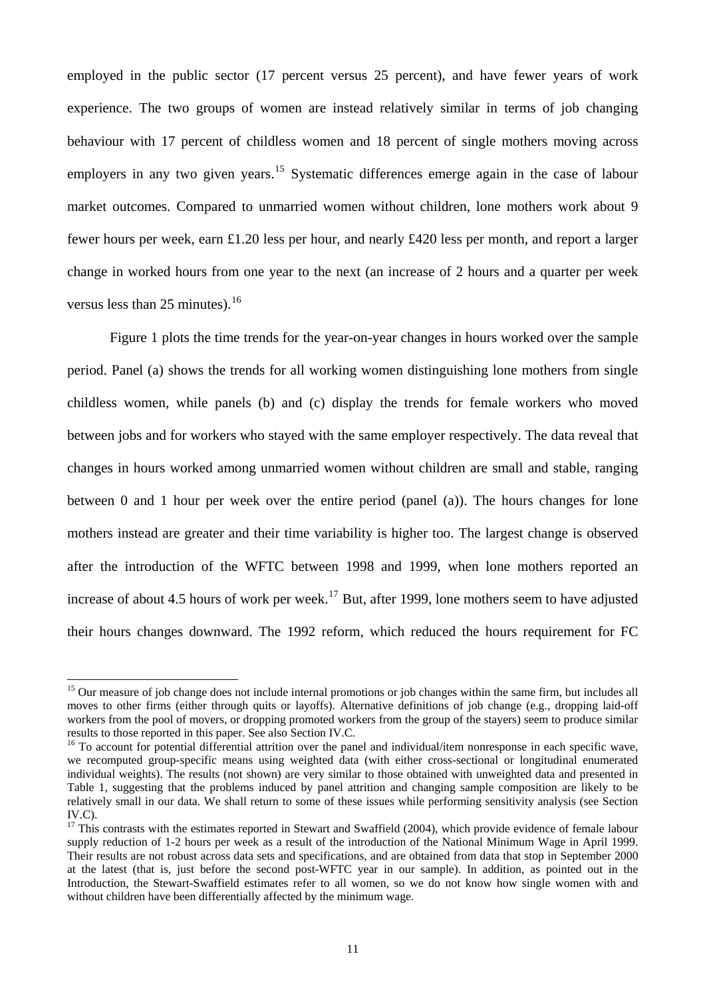employed in the public sector (17 percent versus 25 percent), and have fewer years of work experience. The two groups of women are instead relatively similar in terms of job changing behaviour with 17 percent of childless women and 18 percent of single mothers moving across employers in any two given years.<sup>[15](#page-11-0)</sup> Systematic differences emerge again in the case of labour market outcomes. Compared to unmarried women without children, lone mothers work about 9 fewer hours per week, earn £1.20 less per hour, and nearly £420 less per month, and report a larger change in worked hours from one year to the next (an increase of 2 hours and a quarter per week versus less than 25 minutes). $^{16}$  $^{16}$  $^{16}$ 

Figure 1 plots the time trends for the year-on-year changes in hours worked over the sample period. Panel (a) shows the trends for all working women distinguishing lone mothers from single childless women, while panels (b) and (c) display the trends for female workers who moved between jobs and for workers who stayed with the same employer respectively. The data reveal that changes in hours worked among unmarried women without children are small and stable, ranging between 0 and 1 hour per week over the entire period (panel (a)). The hours changes for lone mothers instead are greater and their time variability is higher too. The largest change is observed after the introduction of the WFTC between 1998 and 1999, when lone mothers reported an increase of about 4.5 hours of work per week.<sup>[17](#page-11-2)</sup> But, after 1999, lone mothers seem to have adjusted their hours changes downward. The 1992 reform, which reduced the hours requirement for FC

<span id="page-11-0"></span><sup>&</sup>lt;sup>15</sup> Our measure of job change does not include internal promotions or job changes within the same firm, but includes all moves to other firms (either through quits or layoffs). Alternative definitions of job change (e.g., dropping laid-off workers from the pool of movers, or dropping promoted workers from the group of the stayers) seem to produce similar results to those reported in this paper. See also Section IV.C.

<span id="page-11-1"></span> $16$  To account for potential differential attrition over the panel and individual/item nonresponse in each specific wave, we recomputed group-specific means using weighted data (with either cross-sectional or longitudinal enumerated individual weights). The results (not shown) are very similar to those obtained with unweighted data and presented in Table 1, suggesting that the problems induced by panel attrition and changing sample composition are likely to be relatively small in our data. We shall return to some of these issues while performing sensitivity analysis (see Section  $IV.C$ ).

<span id="page-11-2"></span> $17$  This contrasts with the estimates reported in Stewart and Swaffield (2004), which provide evidence of female labour supply reduction of 1-2 hours per week as a result of the introduction of the National Minimum Wage in April 1999. Their results are not robust across data sets and specifications, and are obtained from data that stop in September 2000 at the latest (that is, just before the second post-WFTC year in our sample). In addition, as pointed out in the Introduction, the Stewart-Swaffield estimates refer to all women, so we do not know how single women with and without children have been differentially affected by the minimum wage.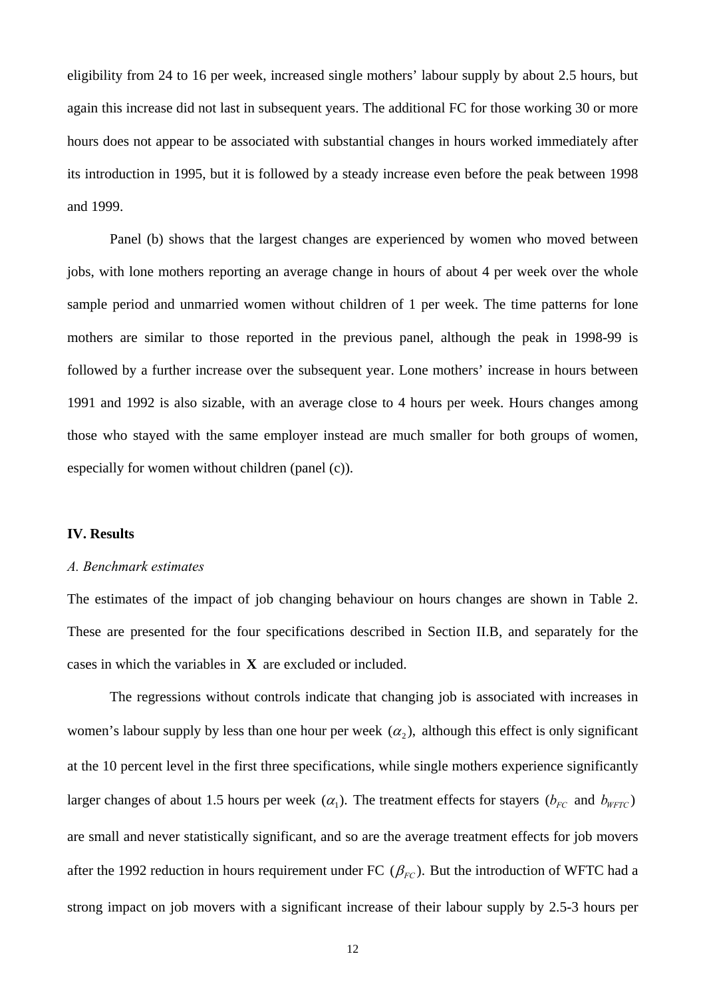eligibility from 24 to 16 per week, increased single mothers' labour supply by about 2.5 hours, but again this increase did not last in subsequent years. The additional FC for those working 30 or more hours does not appear to be associated with substantial changes in hours worked immediately after its introduction in 1995, but it is followed by a steady increase even before the peak between 1998 and 1999.

Panel (b) shows that the largest changes are experienced by women who moved between jobs, with lone mothers reporting an average change in hours of about 4 per week over the whole sample period and unmarried women without children of 1 per week. The time patterns for lone mothers are similar to those reported in the previous panel, although the peak in 1998-99 is followed by a further increase over the subsequent year. Lone mothers' increase in hours between 1991 and 1992 is also sizable, with an average close to 4 hours per week. Hours changes among those who stayed with the same employer instead are much smaller for both groups of women, especially for women without children (panel (c)).

#### **IV. Results**

## *A. Benchmark estimates*

The estimates of the impact of job changing behaviour on hours changes are shown in Table 2. These are presented for the four specifications described in Section II.B, and separately for the cases in which the variables in **X** are excluded or included.

The regressions without controls indicate that changing job is associated with increases in women's labour supply by less than one hour per week  $(\alpha_2)$ , although this effect is only significant at the 10 percent level in the first three specifications, while single mothers experience significantly larger changes of about 1.5 hours per week  $(\alpha_1)$ . The treatment effects for stayers  $(b_{FC}$  and  $b_{WFTC})$ are small and never statistically significant, and so are the average treatment effects for job movers after the 1992 reduction in hours requirement under FC  $(\beta_{FC})$ . But the introduction of WFTC had a strong impact on job movers with a significant increase of their labour supply by 2.5-3 hours per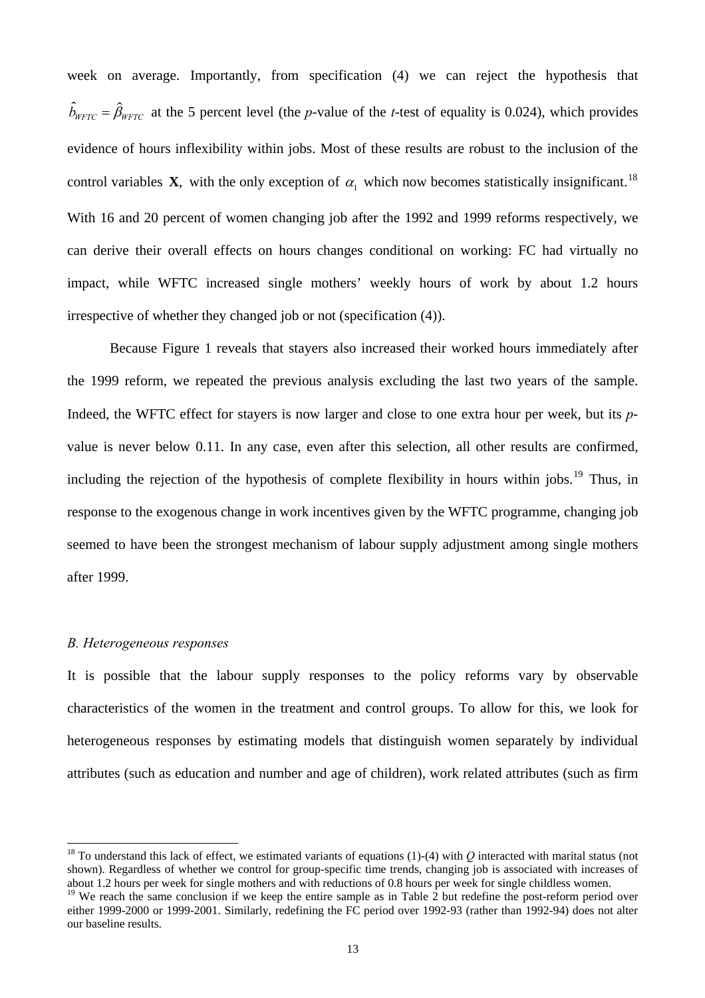week on average. Importantly, from specification (4) we can reject the hypothesis that  $\hat{b}_{WFTC} = \hat{\beta}_{WFTC}$  at the 5 percent level (the *p*-value of the *t*-test of equality is 0.024), which provides evidence of hours inflexibility within jobs. Most of these results are robust to the inclusion of the control variables **X**, with the only exception of  $\alpha_1$  which now becomes statistically insignificant.<sup>[18](#page-13-0)</sup> With 16 and 20 percent of women changing job after the 1992 and 1999 reforms respectively, we can derive their overall effects on hours changes conditional on working: FC had virtually no impact, while WFTC increased single mothers' weekly hours of work by about 1.2 hours irrespective of whether they changed job or not (specification (4)).

Because Figure 1 reveals that stayers also increased their worked hours immediately after the 1999 reform, we repeated the previous analysis excluding the last two years of the sample. Indeed, the WFTC effect for stayers is now larger and close to one extra hour per week, but its *p*value is never below 0.11. In any case, even after this selection, all other results are confirmed, including the rejection of the hypothesis of complete flexibility in hours within jobs.<sup>[19](#page-13-1)</sup> Thus, in response to the exogenous change in work incentives given by the WFTC programme, changing job seemed to have been the strongest mechanism of labour supply adjustment among single mothers after 1999.

## *B. Heterogeneous responses*

 $\overline{a}$ 

It is possible that the labour supply responses to the policy reforms vary by observable characteristics of the women in the treatment and control groups. To allow for this, we look for heterogeneous responses by estimating models that distinguish women separately by individual attributes (such as education and number and age of children), work related attributes (such as firm

<span id="page-13-0"></span><sup>&</sup>lt;sup>18</sup> To understand this lack of effect, we estimated variants of equations (1)-(4) with  $Q$  interacted with marital status (not shown). Regardless of whether we control for group-specific time trends, changing job is associated with increases of about 1.2 hours per week for single mothers and with reductions of 0.8 hours per week for single childless women.

<span id="page-13-1"></span><sup>&</sup>lt;sup>19</sup> We reach the same conclusion if we keep the entire sample as in Table 2 but redefine the post-reform period over either 1999-2000 or 1999-2001. Similarly, redefining the FC period over 1992-93 (rather than 1992-94) does not alter our baseline results.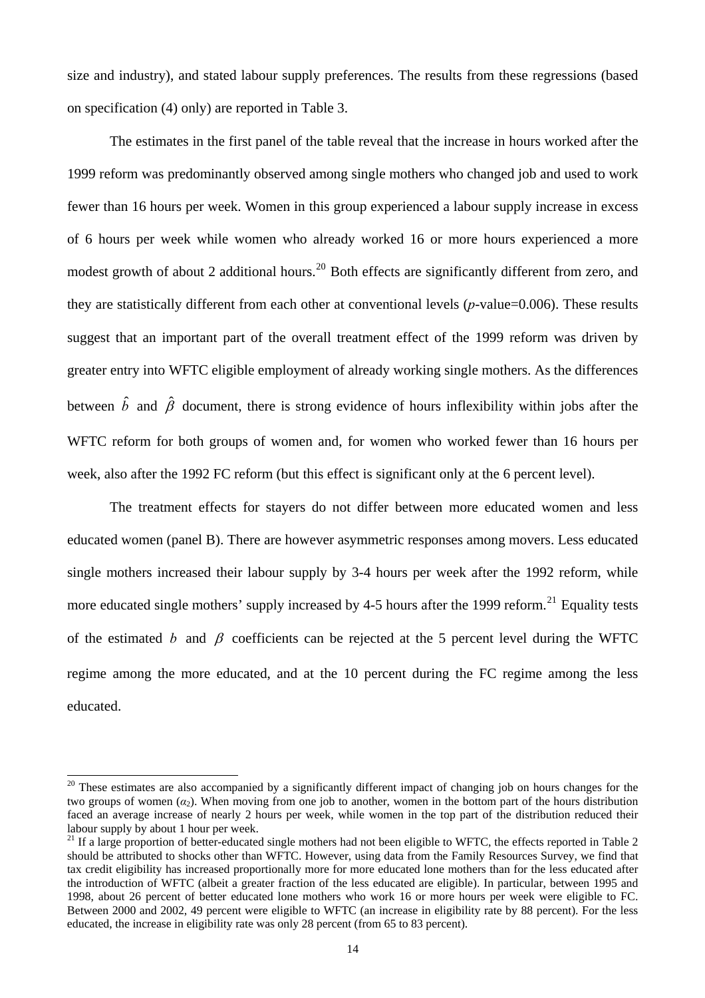size and industry), and stated labour supply preferences. The results from these regressions (based on specification (4) only) are reported in Table 3.

The estimates in the first panel of the table reveal that the increase in hours worked after the 1999 reform was predominantly observed among single mothers who changed job and used to work fewer than 16 hours per week. Women in this group experienced a labour supply increase in excess of 6 hours per week while women who already worked 16 or more hours experienced a more modest growth of about 2 additional hours.<sup>[20](#page-14-0)</sup> Both effects are significantly different from zero, and they are statistically different from each other at conventional levels (*p*-value=0.006). These results suggest that an important part of the overall treatment effect of the 1999 reform was driven by greater entry into WFTC eligible employment of already working single mothers. As the differences between  $\hat{b}$  and  $\hat{\beta}$  document, there is strong evidence of hours inflexibility within jobs after the WFTC reform for both groups of women and, for women who worked fewer than 16 hours per week, also after the 1992 FC reform (but this effect is significant only at the 6 percent level).

The treatment effects for stayers do not differ between more educated women and less educated women (panel B). There are however asymmetric responses among movers. Less educated single mothers increased their labour supply by 3-4 hours per week after the 1992 reform, while more educated single mothers' supply increased by 4-5 hours after the 1999 reform.<sup>[21](#page-14-1)</sup> Equality tests of the estimated *b* and  $\beta$  coefficients can be rejected at the 5 percent level during the WFTC regime among the more educated, and at the 10 percent during the FC regime among the less educated.

<span id="page-14-0"></span><sup>&</sup>lt;sup>20</sup> These estimates are also accompanied by a significantly different impact of changing job on hours changes for the two groups of women  $(\alpha_2)$ . When moving from one job to another, women in the bottom part of the hours distribution faced an average increase of nearly 2 hours per week, while women in the top part of the distribution reduced their labour supply by about 1 hour per week.

<span id="page-14-1"></span> $21$  If a large proportion of better-educated single mothers had not been eligible to WFTC, the effects reported in Table 2 should be attributed to shocks other than WFTC. However, using data from the Family Resources Survey, we find that tax credit eligibility has increased proportionally more for more educated lone mothers than for the less educated after the introduction of WFTC (albeit a greater fraction of the less educated are eligible). In particular, between 1995 and 1998, about 26 percent of better educated lone mothers who work 16 or more hours per week were eligible to FC. Between 2000 and 2002, 49 percent were eligible to WFTC (an increase in eligibility rate by 88 percent). For the less educated, the increase in eligibility rate was only 28 percent (from 65 to 83 percent).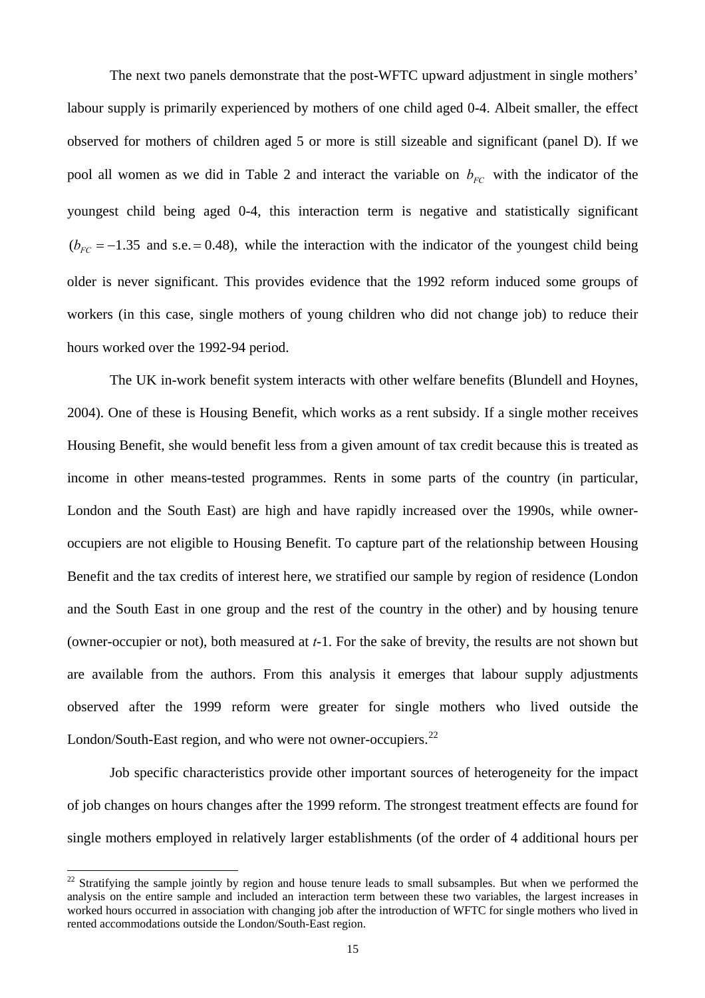The next two panels demonstrate that the post-WFTC upward adjustment in single mothers' labour supply is primarily experienced by mothers of one child aged 0-4. Albeit smaller, the effect observed for mothers of children aged 5 or more is still sizeable and significant (panel D). If we pool all women as we did in Table 2 and interact the variable on  $b_{FC}$  with the indicator of the youngest child being aged 0-4, this interaction term is negative and statistically significant  $(b_{FC} = -1.35$  and s.e. = 0.48), while the interaction with the indicator of the youngest child being older is never significant. This provides evidence that the 1992 reform induced some groups of workers (in this case, single mothers of young children who did not change job) to reduce their hours worked over the 1992-94 period.

 The UK in-work benefit system interacts with other welfare benefits (Blundell and Hoynes, 2004). One of these is Housing Benefit, which works as a rent subsidy. If a single mother receives Housing Benefit, she would benefit less from a given amount of tax credit because this is treated as income in other means-tested programmes. Rents in some parts of the country (in particular, London and the South East) are high and have rapidly increased over the 1990s, while owneroccupiers are not eligible to Housing Benefit. To capture part of the relationship between Housing Benefit and the tax credits of interest here, we stratified our sample by region of residence (London and the South East in one group and the rest of the country in the other) and by housing tenure (owner-occupier or not), both measured at *t*-1. For the sake of brevity, the results are not shown but are available from the authors. From this analysis it emerges that labour supply adjustments observed after the 1999 reform were greater for single mothers who lived outside the London/South-East region, and who were not owner-occupiers.<sup>[22](#page-15-0)</sup>

Job specific characteristics provide other important sources of heterogeneity for the impact of job changes on hours changes after the 1999 reform. The strongest treatment effects are found for single mothers employed in relatively larger establishments (of the order of 4 additional hours per

<span id="page-15-0"></span>worked hours occurred in association with changing job after the introduction of WFTC for single mothers who lived in rented accommodations outside the London/South-East region.  $22$  Stratifying the sample jointly by region and house tenure leads to small subsamples. But when we performed the analysis on the entire sample and included an interaction term between these two variables, the largest increases in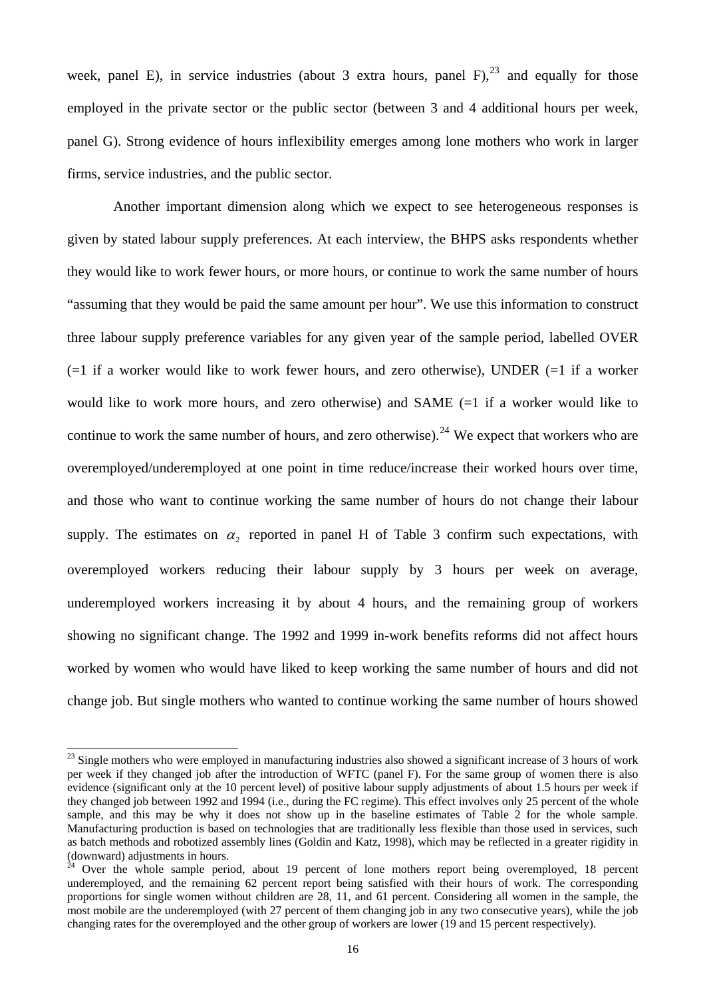week, panel E), in service industries (about 3 extra hours, panel  $F$ ),  $23$  and equally for those employed in the private sector or the public sector (between 3 and 4 additional hours per week, panel G). Strong evidence of hours inflexibility emerges among lone mothers who work in larger firms, service industries, and the public sector.

 Another important dimension along which we expect to see heterogeneous responses is given by stated labour supply preferences. At each interview, the BHPS asks respondents whether they would like to work fewer hours, or more hours, or continue to work the same number of hours "assuming that they would be paid the same amount per hour". We use this information to construct three labour supply preference variables for any given year of the sample period, labelled OVER  $(=1)$  if a worker would like to work fewer hours, and zero otherwise), UNDER  $(=1)$  if a worker would like to work more hours, and zero otherwise) and SAME (=1 if a worker would like to continue to work the same number of hours, and zero otherwise).<sup>[24](#page-16-1)</sup> We expect that workers who are overemployed/underemployed at one point in time reduce/increase their worked hours over time, and those who want to continue working the same number of hours do not change their labour supply. The estimates on  $\alpha$ , reported in panel H of Table 3 confirm such expectations, with overemployed workers reducing their labour supply by 3 hours per week on average, underemployed workers increasing it by about 4 hours, and the remaining group of workers showing no significant change. The 1992 and 1999 in-work benefits reforms did not affect hours worked by women who would have liked to keep working the same number of hours and did not change job. But single mothers who wanted to continue working the same number of hours showed

<span id="page-16-0"></span> $^{23}$  Single mothers who were employed in manufacturing industries also showed a significant increase of 3 hours of work per week if they changed job after the introduction of WFTC (panel F). For the same group of women there is also evidence (significant only at the 10 percent level) of positive labour supply adjustments of about 1.5 hours per week if they changed job between 1992 and 1994 (i.e., during the FC regime). This effect involves only 25 percent of the whole sample, and this may be why it does not show up in the baseline estimates of Table 2 for the whole sample. Manufacturing production is based on technologies that are traditionally less flexible than those used in services, such as batch methods and robotized assembly lines (Goldin and Katz, 1998), which may be reflected in a greater rigidity in (downward) adjustments in hours.

<span id="page-16-1"></span> $24$  Over the whole sample period, about 19 percent of lone mothers report being overemployed, 18 percent changing rates for the overemployed and the other group of workers are lower (19 and 15 percent respectively). underemployed, and the remaining 62 percent report being satisfied with their hours of work. The corresponding proportions for single women without children are 28, 11, and 61 percent. Considering all women in the sample, the most mobile are the underemployed (with 27 percent of them changing job in any two consecutive years), while the job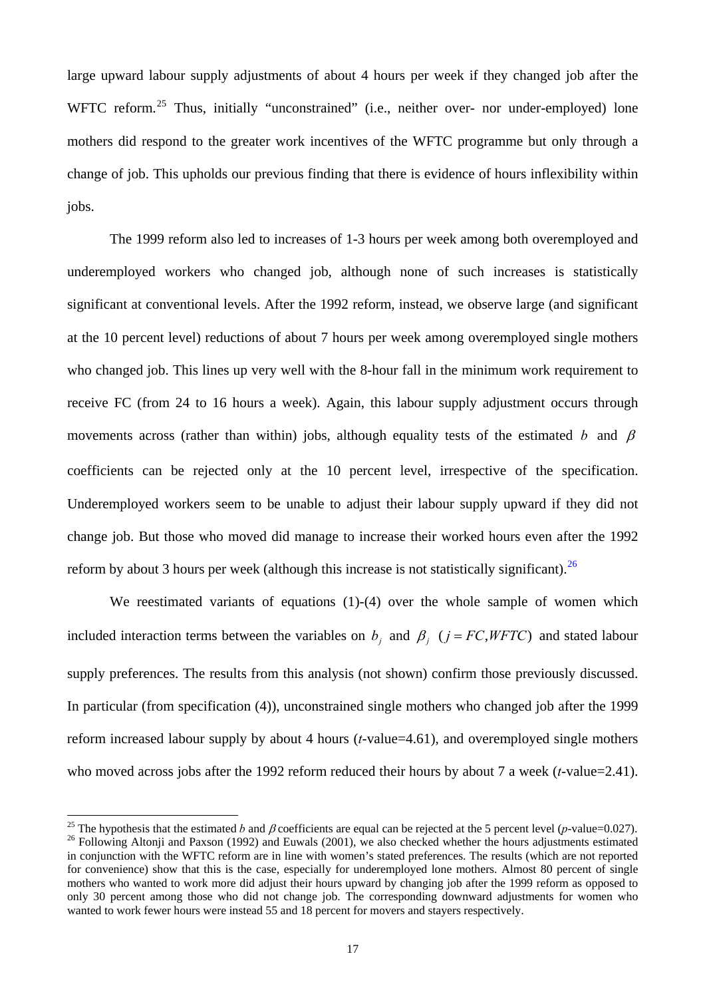large upward labour supply adjustments of about 4 hours per week if they changed job after the WFTC reform.<sup>[25](#page-17-0)</sup> Thus, initially "unconstrained" (i.e., neither over- nor under-employed) lone mothers did respond to the greater work incentives of the WFTC programme but only through a change of job. This upholds our previous finding that there is evidence of hours inflexibility within jobs.

The 1999 reform also led to increases of 1-3 hours per week among both overemployed and underemployed workers who changed job, although none of such increases is statistically significant at conventional levels. After the 1992 reform, instead, we observe large (and significant at the 10 percent level) reductions of about 7 hours per week among overemployed single mothers who changed job. This lines up very well with the 8-hour fall in the minimum work requirement to receive FC (from 24 to 16 hours a week). Again, this labour supply adjustment occurs through movements across (rather than within) jobs, although equality tests of the estimated *b* and β coefficients can be rejected only at the 10 percent level, irrespective of the specification. Underemployed workers seem to be unable to adjust their labour supply upward if they did not change job. But those who moved did manage to increase their worked hours even after the 1992 reform by about 3 hours per week (although this increase is not statistically significant).  $^{26}$  $^{26}$  $^{26}$ 

We reestimated variants of equations (1)-(4) over the whole sample of women which included interaction terms between the variables on  $b_i$  and  $\beta_i$  ( $j = FC, WFTC$ ) and stated labour supply preferences. The results from this analysis (not shown) confirm those previously discussed. In particular (from specification (4)), unconstrained single mothers who changed job after the 1999 reform increased labour supply by about 4 hours (*t*-value=4.61), and overemployed single mothers who moved across jobs after the 1992 reform reduced their hours by about 7 a week (*t*-value=2.41).

<span id="page-17-1"></span><span id="page-17-0"></span><sup>&</sup>lt;sup>25</sup> The hypothesis that the estimated *b* and *β* coefficients are equal can be rejected at the 5 percent level (*p*-value=0.027).<br><sup>26</sup> Following Altonii and Paxson (1992) and Euwals (2001), we also checked whether the h in conjunction with the WFTC reform are in line with women's stated preferences. The results (which are not reported for convenience) show that this is the case, especially for underemployed lone mothers. Almost 80 percent of single mothers who wanted to work more did adjust their hours upward by changing job after the 1999 reform as opposed to only 30 percent among those who did not change job. The corresponding downward adjustments for women who wanted to work fewer hours were instead 55 and 18 percent for movers and stayers respectively.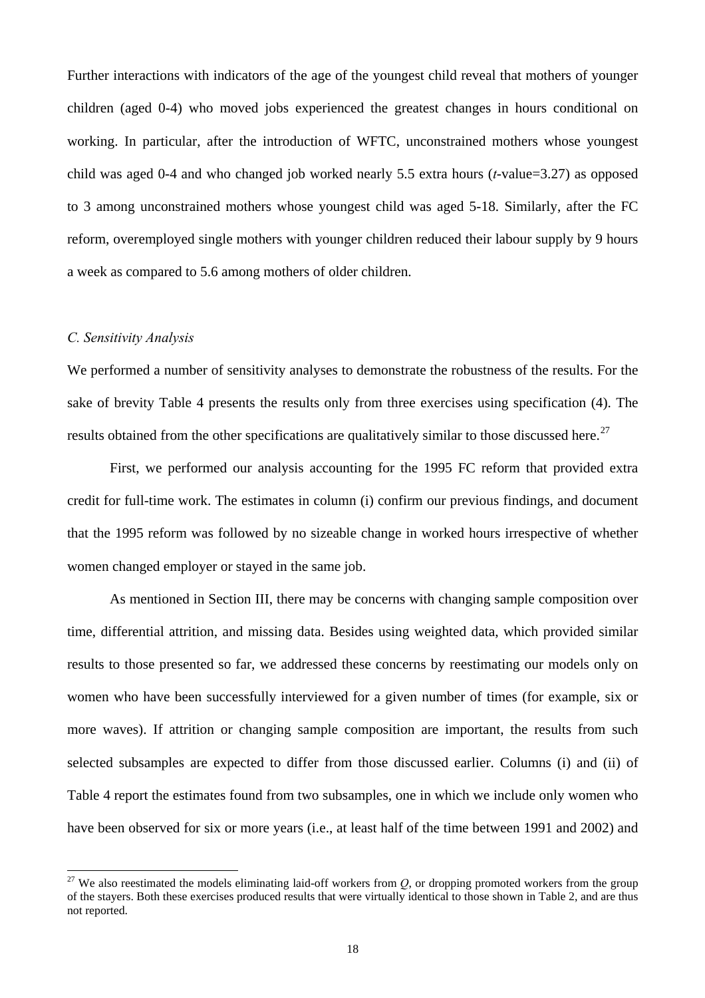Further interactions with indicators of the age of the youngest child reveal that mothers of younger children (aged 0-4) who moved jobs experienced the greatest changes in hours conditional on working. In particular, after the introduction of WFTC, unconstrained mothers whose youngest child was aged 0-4 and who changed job worked nearly 5.5 extra hours (*t*-value=3.27) as opposed to 3 among unconstrained mothers whose youngest child was aged 5-18. Similarly, after the FC reform, overemployed single mothers with younger children reduced their labour supply by 9 hours a week as compared to 5.6 among mothers of older children.

## *C. Sensitivity Analysis*

 $\overline{a}$ 

We performed a number of sensitivity analyses to demonstrate the robustness of the results. For the sake of brevity Table 4 presents the results only from three exercises using specification (4). The results obtained from the other specifications are qualitatively similar to those discussed here.<sup>[27](#page-18-0)</sup>

First, we performed our analysis accounting for the 1995 FC reform that provided extra credit for full-time work. The estimates in column (i) confirm our previous findings, and document that the 1995 reform was followed by no sizeable change in worked hours irrespective of whether women changed employer or stayed in the same job.

 As mentioned in Section III, there may be concerns with changing sample composition over time, differential attrition, and missing data. Besides using weighted data, which provided similar results to those presented so far, we addressed these concerns by reestimating our models only on women who have been successfully interviewed for a given number of times (for example, six or more waves). If attrition or changing sample composition are important, the results from such selected subsamples are expected to differ from those discussed earlier. Columns (i) and (ii) of Table 4 report the estimates found from two subsamples, one in which we include only women who have been observed for six or more years (i.e., at least half of the time between 1991 and 2002) and

<span id="page-18-0"></span><sup>&</sup>lt;sup>27</sup> We also reestimated the models eliminating laid-off workers from  $Q$ , or dropping promoted workers from the group of the stayers. Both these exercises produced results that were virtually identical to those shown in Table 2, and are thus not reported.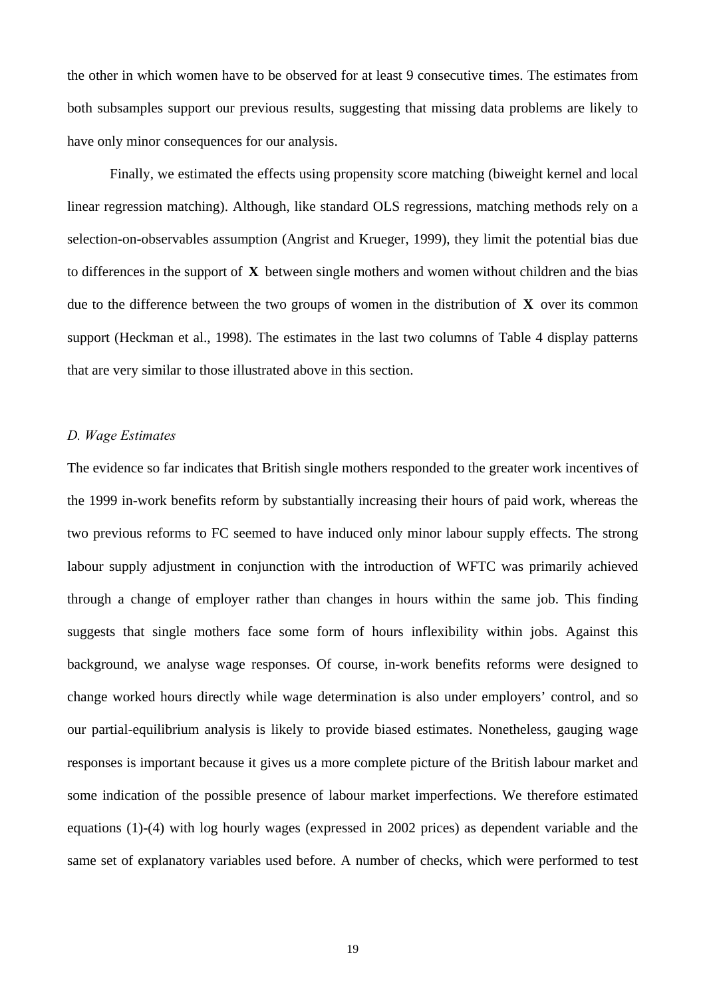the other in which women have to be observed for at least 9 consecutive times. The estimates from both subsamples support our previous results, suggesting that missing data problems are likely to have only minor consequences for our analysis.

 Finally, we estimated the effects using propensity score matching (biweight kernel and local linear regression matching). Although, like standard OLS regressions, matching methods rely on a selection-on-observables assumption (Angrist and Krueger, 1999), they limit the potential bias due to differences in the support of **X** between single mothers and women without children and the bias due to the difference between the two groups of women in the distribution of **X** over its common support (Heckman et al., 1998). The estimates in the last two columns of Table 4 display patterns that are very similar to those illustrated above in this section.

## *. Wage Estimates D*

The evidence so far indicates that British single mothers responded to the greater work incentives of the 1999 in-work benefits reform by substantially increasing their hours of paid work, whereas the two previous reforms to FC seemed to have induced only minor labour supply effects. The strong labour supply adjustment in conjunction with the introduction of WFTC was primarily achieved through a change of employer rather than changes in hours within the same job. This finding suggests that single mothers face some form of hours inflexibility within jobs. Against this background, we analyse wage responses. Of course, in-work benefits reforms were designed to change worked hours directly while wage determination is also under employers' control, and so our partial-equilibrium analysis is likely to provide biased estimates. Nonetheless, gauging wage responses is important because it gives us a more complete picture of the British labour market and some indication of the possible presence of labour market imperfections. We therefore estimated equations (1)-(4) with log hourly wages (expressed in 2002 prices) as dependent variable and the same set of explanatory variables used before. A number of checks, which were performed to test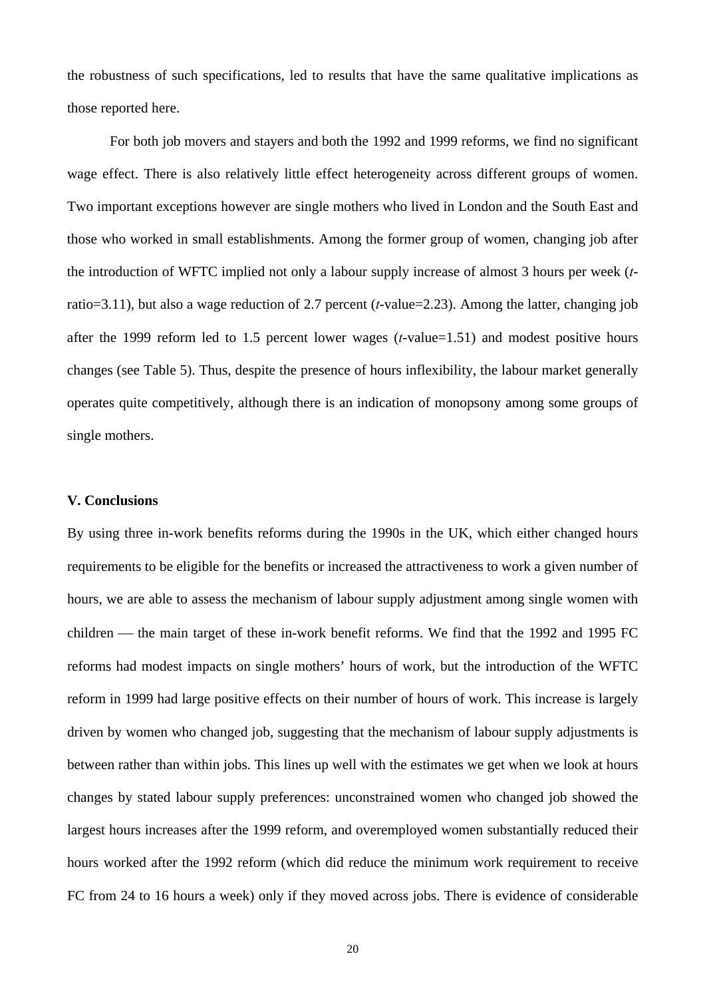the robustness of such specifications, led to results that have the same qualitative implications as those reported here.

For both job movers and stayers and both the 1992 and 1999 reforms, we find no significant wage effect. There is also relatively little effect heterogeneity across different groups of women. Two important exceptions however are single mothers who lived in London and the South East and those who worked in small establishments. Among the former group of women, changing job after the introduction of WFTC implied not only a labour supply increase of almost 3 hours per week (*t*ratio=3.11), but also a wage reduction of 2.7 percent (*t*-value=2.23). Among the latter, changing job after the 1999 reform led to 1.5 percent lower wages (*t*-value=1.51) and modest positive hours changes (see Table 5). Thus, despite the presence of hours inflexibility, the labour market generally operates quite competitively, although there is an indication of monopsony among some groups of single mothers.

## **V. Conclusions**

By using three in-work benefits reforms during the 1990s in the UK, which either changed hours requirements to be eligible for the benefits or increased the attractiveness to work a given number of hours, we are able to assess the mechanism of labour supply adjustment among single women with children — the main target of these in-work benefit reforms. We find that the 1992 and 1995 FC reforms had modest impacts on single mothers' hours of work, but the introduction of the WFTC reform in 1999 had large positive effects on their number of hours of work. This increase is largely driven by women who changed job, suggesting that the mechanism of labour supply adjustments is between rather than within jobs. This lines up well with the estimates we get when we look at hours changes by stated labour supply preferences: unconstrained women who changed job showed the largest hours increases after the 1999 reform, and overemployed women substantially reduced their hours worked after the 1992 reform (which did reduce the minimum work requirement to receive FC from 24 to 16 hours a week) only if they moved across jobs. There is evidence of considerable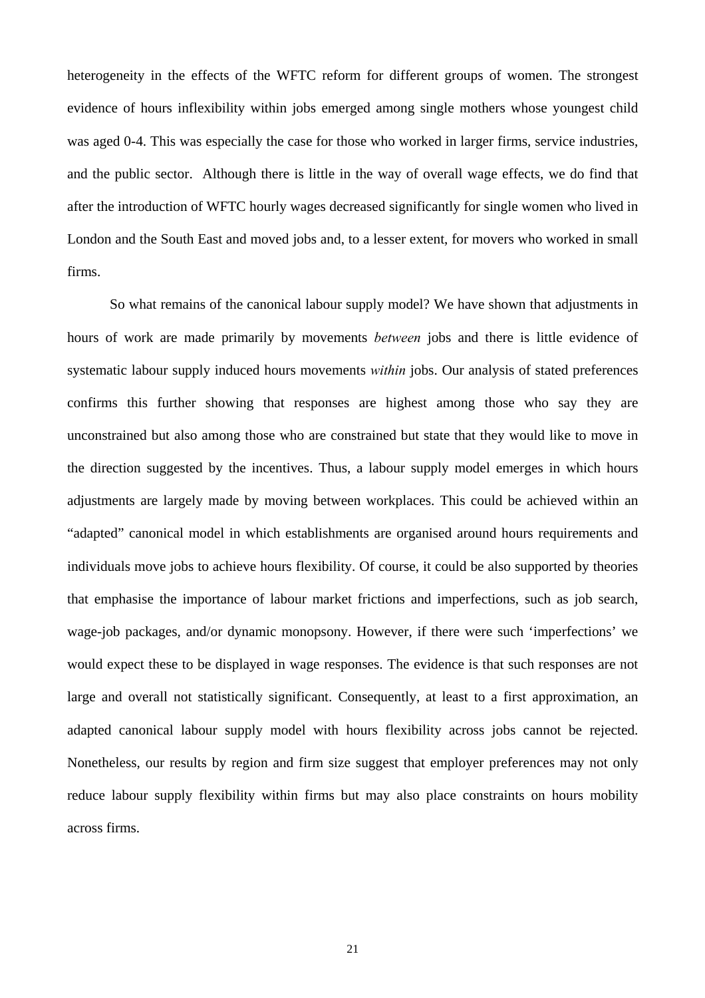heterogeneity in the effects of the WFTC reform for different groups of women. The strongest evidence of hours inflexibility within jobs emerged among single mothers whose youngest child was aged 0-4. This was especially the case for those who worked in larger firms, service industries, and the public sector. Although there is little in the way of overall wage effects, we do find that after the introduction of WFTC hourly wages decreased significantly for single women who lived in London and the South East and moved jobs and, to a lesser extent, for movers who worked in small firms.

So what remains of the canonical labour supply model? We have shown that adjustments in hours of work are made primarily by movements *between* jobs and there is little evidence of systematic labour supply induced hours movements *within* jobs. Our analysis of stated preferences confirms this further showing that responses are highest among those who say they are unconstrained but also among those who are constrained but state that they would like to move in the direction suggested by the incentives. Thus, a labour supply model emerges in which hours adjustments are largely made by moving between workplaces. This could be achieved within an "adapted" canonical model in which establishments are organised around hours requirements and individuals move jobs to achieve hours flexibility. Of course, it could be also supported by theories that emphasise the importance of labour market frictions and imperfections, such as job search, wage-job packages, and/or dynamic monopsony. However, if there were such 'imperfections' we would expect these to be displayed in wage responses. The evidence is that such responses are not large and overall not statistically significant. Consequently, at least to a first approximation, an adapted canonical labour supply model with hours flexibility across jobs cannot be rejected. Nonetheless, our results by region and firm size suggest that employer preferences may not only reduce labour supply flexibility within firms but may also place constraints on hours mobility across firms.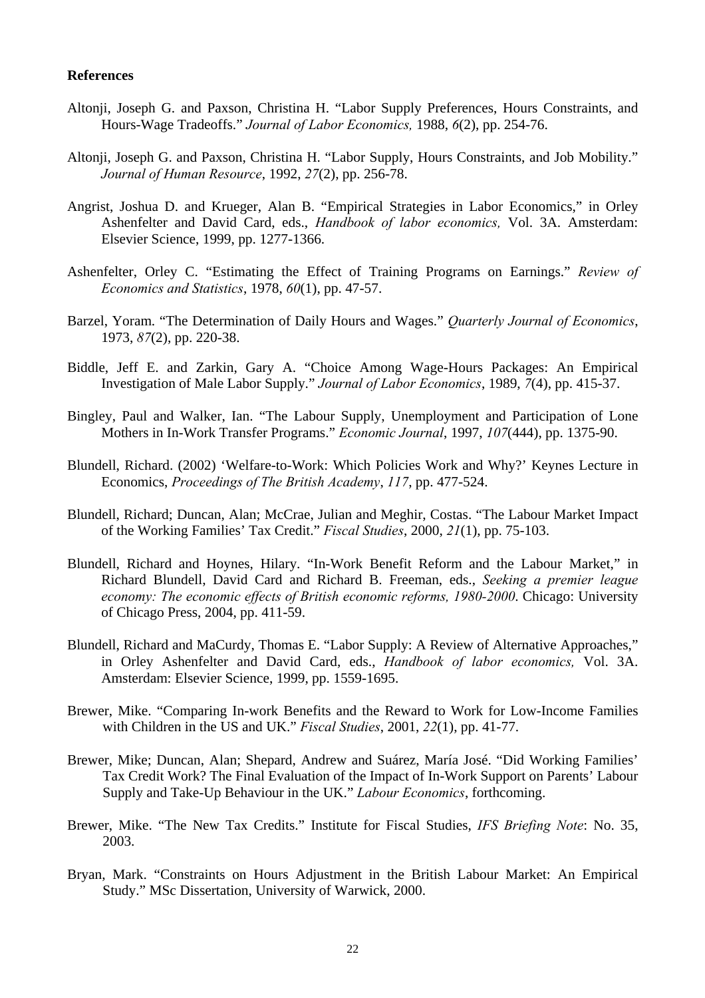#### **References**

- Altonji, Joseph G. and Paxson, Christina H. "Labor Supply Preferences, Hours Constraints, and Hours-Wage Tradeoffs." *Journal of Labor Economics,* 1988, *6*(2), pp. 254-76.
- Altonji, Joseph G. and Paxson, Christina H. "Labor Supply, Hours Constraints, and Job Mobility." *Journal of Human Resource*, 1992, *27*(2), pp. 256-78.
- Angrist, Joshua D. and Krueger, Alan B. "Empirical Strategies in Labor Economics," in Orley Ashenfelter and David Card, eds., *Handbook of labor economics,* Vol. 3A. Amsterdam: Elsevier Science, 1999, pp. 1277-1366.
- Ashenfelter, Orley C. "Estimating the Effect of Training Programs on Earnings." *Review of Economics and Statistics*, 1978, *60*(1), pp. 47-57.
- Barzel, Yoram. "The Determination of Daily Hours and Wages." *Quarterly Journal of Economics*, 1973, *87*(2), pp. 220-38.
- Biddle, Jeff E. and Zarkin, Gary A. "Choice Among Wage-Hours Packages: An Empirical Investigation of Male Labor Supply." *Journal of Labor Economics*, 1989, *7*(4), pp. 415-37.
- Bingley, Paul and Walker, Ian. "The Labour Supply, Unemployment and Participation of Lone Mothers in In-Work Transfer Programs." *Economic Journal*, 1997, *107*(444), pp. 1375-90.
- Blundell, Richard. (2002) 'Welfare-to-Work: Which Policies Work and Why?' Keynes Lecture in Economics, *Proceedings of The British Academy*, *117*, pp. 477-524.
- Blundell, Richard; Duncan, Alan; McCrae, Julian and Meghir, Costas. "The Labour Market Impact of the Working Families' Tax Credit." *Fiscal Studies*, 2000, *21*(1), pp. 75-103.
- Blundell, Richard and Hoynes, Hilary. "In-Work Benefit Reform and the Labour Market," in Richard Blundell, David Card and Richard B. Freeman, eds., *Seeking a premier league economy: The economic effects of British economic reforms, 1980-2000*. Chicago: University of Chicago Press, 2004, pp. 411-59.
- Blundell, Richard and MaCurdy, Thomas E. "Labor Supply: A Review of Alternative Approaches," in Orley Ashenfelter and David Card, eds., *Handbook of labor economics,* Vol. 3A. Amsterdam: Elsevier Science, 1999, pp. 1559-1695.
- Brewer, Mike. "Comparing In-work Benefits and the Reward to Work for Low-Income Families with Children in the US and UK." *Fiscal Studies*, 2001, *22*(1), pp. 41-77.
- Brewer, Mike; Duncan, Alan; Shepard, Andrew and Suárez, María José. "Did Working Families' Tax Credit Work? The Final Evaluation of the Impact of In-Work Support on Parents' Labour Supply and Take-Up Behaviour in the UK." *Labour Economics*, forthcoming.
- Brewer, Mike. "The New Tax Credits." Institute for Fiscal Studies, *IFS Briefing Note*: No. 35, 2003.
- Bryan, Mark. "Constraints on Hours Adjustment in the British Labour Market: An Empirical Study." MSc Dissertation, University of Warwick, 2000.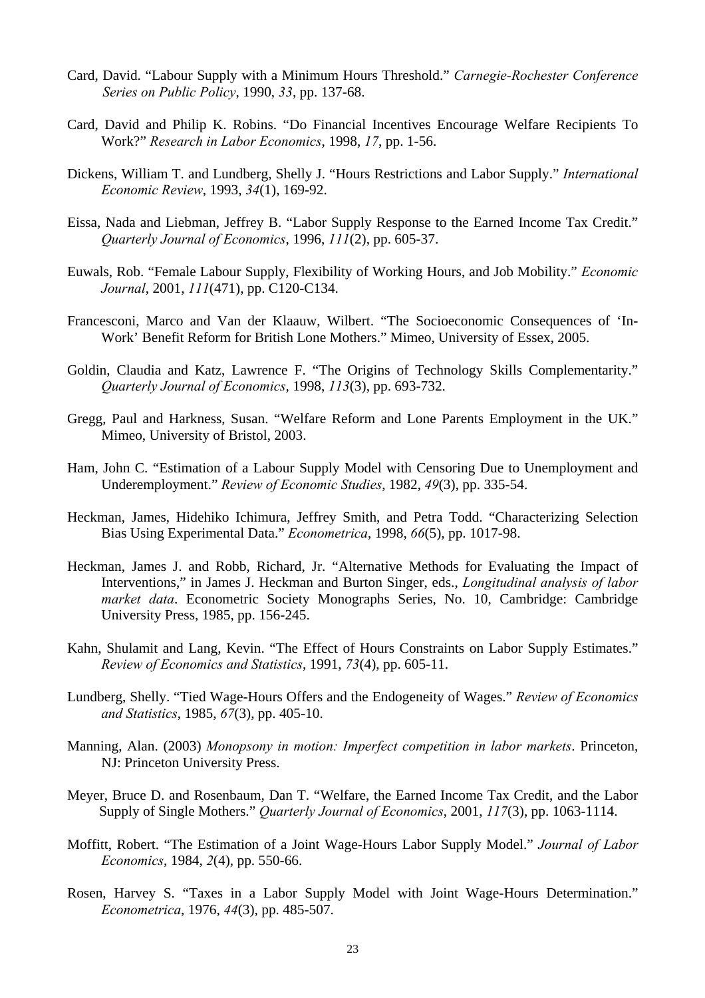- Card, David. "Labour Supply with a Minimum Hours Threshold." *Carnegie-Rochester Conference Series on Public Policy*, 1990, *33*, pp. 137-68.
- Card, David and Philip K. Robins. "Do Financial Incentives Encourage Welfare Recipients To Work?" *Research in Labor Economics*, 1998, *17*, pp. 1-56.
- Dickens, William T. and Lundberg, Shelly J. "Hours Restrictions and Labor Supply." *International Economic Review*, 1993, *34*(1), 169-92.
- Eissa, Nada and Liebman, Jeffrey B. "Labor Supply Response to the Earned Income Tax Credit." *Quarterly Journal of Economics*, 1996, *111*(2), pp. 605-37.
- Euwals, Rob. "Female Labour Supply, Flexibility of Working Hours, and Job Mobility." *Economic Journal*, 2001, *111*(471), pp. C120-C134.
- Francesconi, Marco and Van der Klaauw, Wilbert. "The Socioeconomic Consequences of 'In-Work' Benefit Reform for British Lone Mothers." Mimeo, University of Essex, 2005.
- Goldin, Claudia and Katz, Lawrence F. "The Origins of Technology Skills Complementarity." *Quarterly Journal of Economics*, 1998, *113*(3), pp. 693-732.
- Gregg, Paul and Harkness, Susan. "Welfare Reform and Lone Parents Employment in the UK." Mimeo, University of Bristol, 2003.
- Ham, John C. "Estimation of a Labour Supply Model with Censoring Due to Unemployment and Underemployment." *Review of Economic Studies*, 1982, *49*(3), pp. 335-54.
- Heckman, James, Hidehiko Ichimura, Jeffrey Smith, and Petra Todd. "Characterizing Selection Bias Using Experimental Data." *Econometrica*, 1998, *66*(5), pp. 1017-98.
- Heckman, James J. and Robb, Richard, Jr. "Alternative Methods for Evaluating the Impact of Interventions," in James J. Heckman and Burton Singer, eds., *Longitudinal analysis of labor market data*. Econometric Society Monographs Series, No. 10, Cambridge: Cambridge University Press, 1985, pp. 156-245.
- Kahn, Shulamit and Lang, Kevin. "The Effect of Hours Constraints on Labor Supply Estimates." *Review of Economics and Statistics*, 1991, *73*(4), pp. 605-11.
- Lundberg, Shelly. "Tied Wage-Hours Offers and the Endogeneity of Wages." *Review of Economics and Statistics*, 1985, *67*(3), pp. 405-10.
- Manning, Alan. (2003) *Monopsony in motion: Imperfect competition in labor markets*. Princeton, NJ: Princeton University Press.
- Meyer, Bruce D. and Rosenbaum, Dan T. "Welfare, the Earned Income Tax Credit, and the Labor Supply of Single Mothers." *Quarterly Journal of Economics*, 2001, *117*(3), pp. 1063-1114.
- Moffitt, Robert. "The Estimation of a Joint Wage-Hours Labor Supply Model." *Journal of Labor Economics*, 1984, *2*(4), pp. 550-66.
- Rosen, Harvey S. "Taxes in a Labor Supply Model with Joint Wage-Hours Determination." *Econometrica*, 1976, *44*(3), pp. 485-507.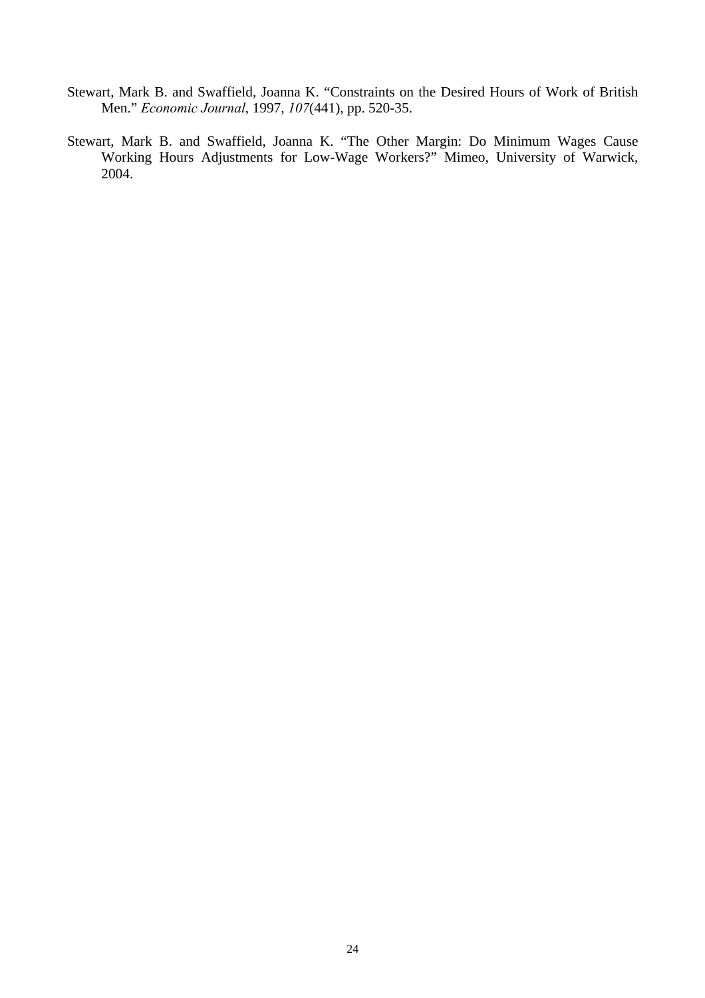- Stewart, Mark B. and Swaffield, Joanna K. "Constraints on the Desired Hours of Work of British Men." *Economic Journal*, 1997, *107*(441), pp. 520-35.
- Stewart, Mark B. and Swaffield, Joanna K. "The Other Margin: Do Minimum Wages Cause Working Hours Adjustments for Low-Wage Workers?" Mimeo, University of Warwick, 2004.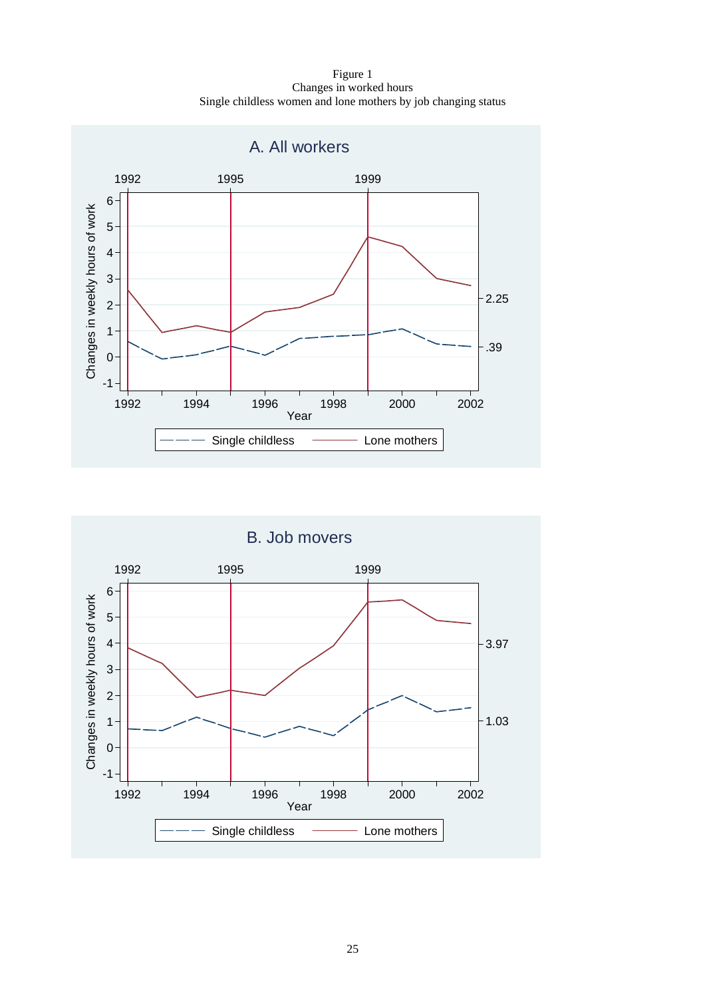Figure 1 Changes in worked hours Single childless women and lone mothers by job changing status



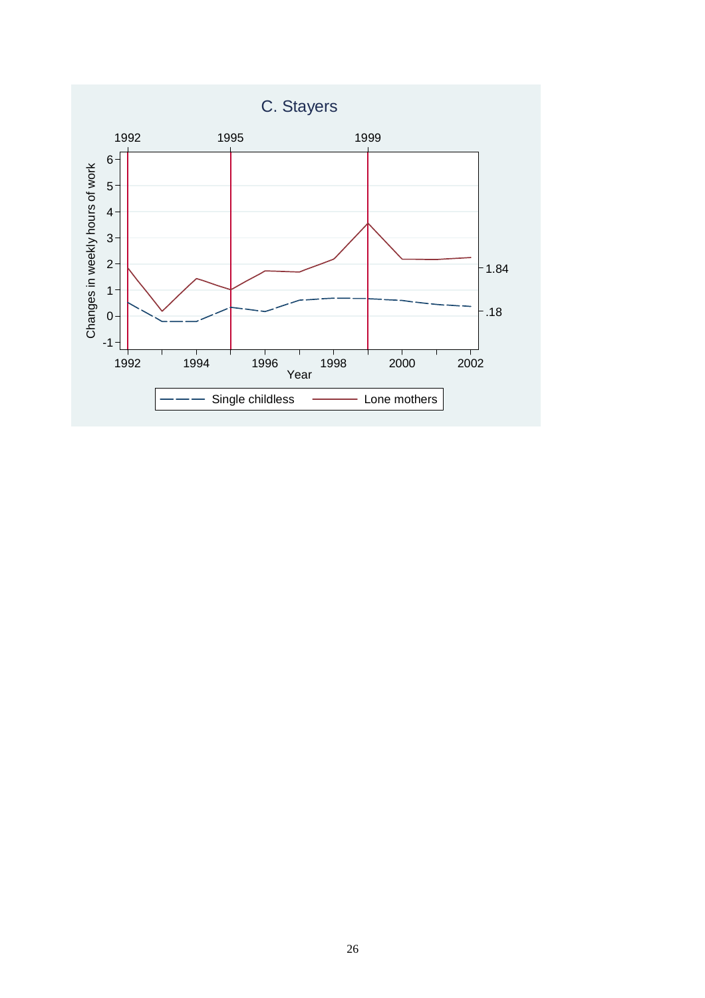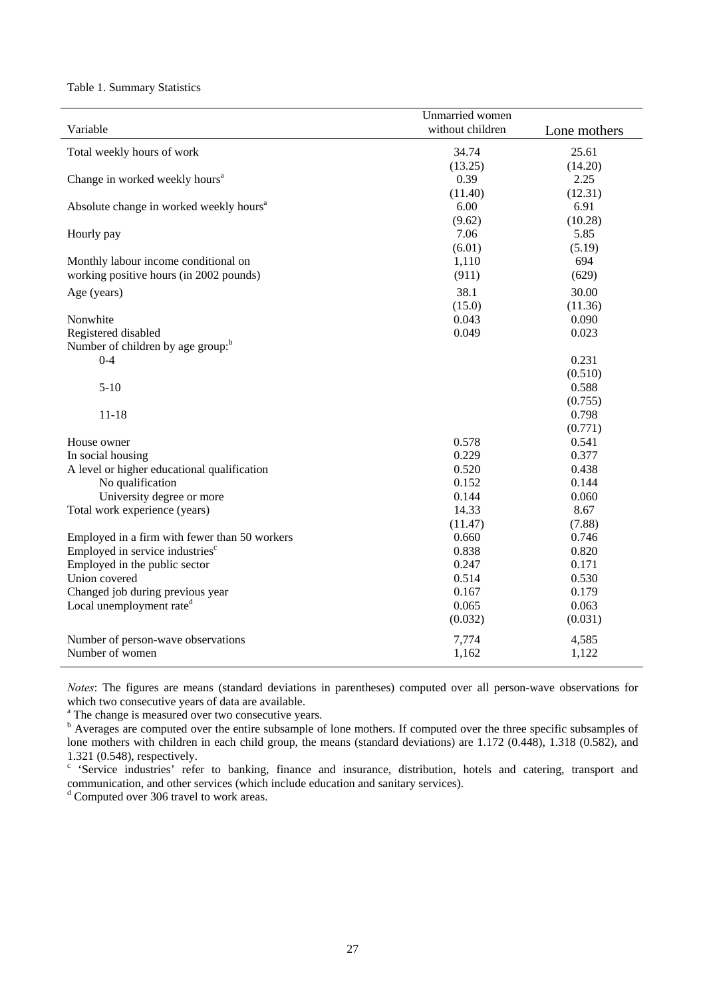Table 1. Summary Statistics

|                                                     | Unmarried women  |              |
|-----------------------------------------------------|------------------|--------------|
| Variable                                            | without children | Lone mothers |
|                                                     | 34.74            |              |
| Total weekly hours of work                          |                  | 25.61        |
|                                                     | (13.25)          | (14.20)      |
| Change in worked weekly hours <sup>a</sup>          | 0.39             | 2.25         |
|                                                     | (11.40)          | (12.31)      |
| Absolute change in worked weekly hours <sup>a</sup> | 6.00             | 6.91         |
|                                                     | (9.62)           | (10.28)      |
| Hourly pay                                          | 7.06             | 5.85         |
|                                                     | (6.01)           | (5.19)       |
| Monthly labour income conditional on                | 1,110            | 694          |
| working positive hours (in 2002 pounds)             | (911)            | (629)        |
| Age (years)                                         | 38.1             | 30.00        |
|                                                     | (15.0)           | (11.36)      |
| Nonwhite                                            | 0.043            | 0.090        |
| Registered disabled                                 | 0.049            | 0.023        |
| Number of children by age group: <sup>b</sup>       |                  |              |
| $0 - 4$                                             |                  | 0.231        |
|                                                     |                  | (0.510)      |
| $5-10$                                              |                  | 0.588        |
|                                                     |                  | (0.755)      |
| $11 - 18$                                           |                  | 0.798        |
|                                                     |                  | (0.771)      |
| House owner                                         | 0.578            | 0.541        |
| In social housing                                   | 0.229            | 0.377        |
| A level or higher educational qualification         | 0.520            | 0.438        |
| No qualification                                    | 0.152            | 0.144        |
| University degree or more                           | 0.144            | 0.060        |
| Total work experience (years)                       | 14.33            | 8.67         |
|                                                     | (11.47)          | (7.88)       |
| Employed in a firm with fewer than 50 workers       | 0.660            | 0.746        |
| Employed in service industries <sup>c</sup>         | 0.838            | 0.820        |
| Employed in the public sector                       | 0.247            | 0.171        |
| Union covered                                       | 0.514            | 0.530        |
| Changed job during previous year                    | 0.167            | 0.179        |
| Local unemployment rate <sup>d</sup>                | 0.065            | 0.063        |
|                                                     | (0.032)          | (0.031)      |
|                                                     |                  |              |
| Number of person-wave observations                  | 7,774            | 4,585        |
| Number of women                                     | 1,162            | 1,122        |
|                                                     |                  |              |

*Notes*: The figures are means (standard deviations in parentheses) computed over all person-wave observations for which two consecutive years of data are available.

<sup>a</sup> The change is measured over two consecutive years.

<sup>b</sup> Averages are computed over the entire subsample of lone mothers. If computed over the three specific subsamples of lone mothers with children in each child group, the means (standard deviations) are 1.172 (0.448), 1.318 (0.582), and 1.321 (0.548), respectively.

<sup>c</sup> 'Service industries' refer to banking, finance and insurance, distribution, hotels and catering, transport and communication, and other services (which include education and sanitary services).

<sup>d</sup> Computed over 306 travel to work areas.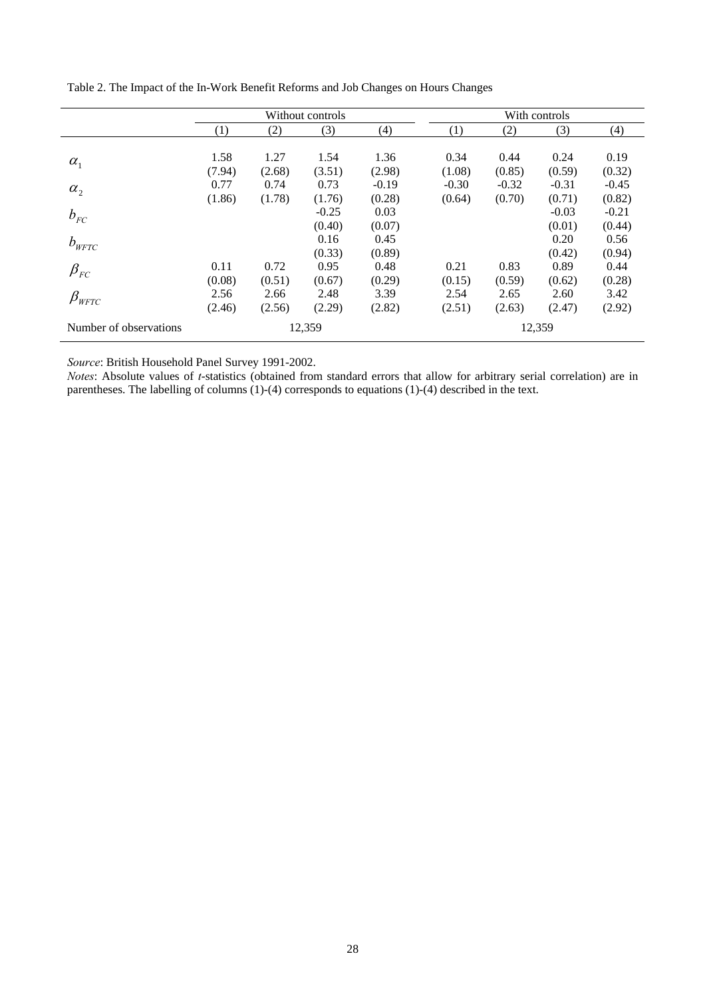|                                    | Without controls |                |                   | With controls     |                   |                   |                   |                   |
|------------------------------------|------------------|----------------|-------------------|-------------------|-------------------|-------------------|-------------------|-------------------|
|                                    | (1)              | (2)            | (3)               | (4)               | (1)               | (2)               | (3)               | (4)               |
| $\alpha_{1}$                       | 1.58<br>(7.94)   | 1.27<br>(2.68) | 1.54<br>(3.51)    | 1.36<br>(2.98)    | 0.34<br>(1.08)    | 0.44<br>(0.85)    | 0.24<br>(0.59)    | 0.19<br>(0.32)    |
| $\alpha_{2}$                       | 0.77<br>(1.86)   | 0.74<br>(1.78) | 0.73<br>(1.76)    | $-0.19$<br>(0.28) | $-0.30$<br>(0.64) | $-0.32$<br>(0.70) | $-0.31$<br>(0.71) | $-0.45$<br>(0.82) |
| $b_{FC}$                           |                  |                | $-0.25$<br>(0.40) | 0.03<br>(0.07)    |                   |                   | $-0.03$<br>(0.01) | $-0.21$<br>(0.44) |
| $b_{\rm \scriptscriptstyle WFTC}$  |                  |                | 0.16<br>(0.33)    | 0.45<br>(0.89)    |                   |                   | 0.20<br>(0.42)    | 0.56<br>(0.94)    |
| $\beta_{\rm\scriptscriptstyle FC}$ | 0.11<br>(0.08)   | 0.72<br>(0.51) | 0.95<br>(0.67)    | 0.48<br>(0.29)    | 0.21<br>(0.15)    | 0.83<br>(0.59)    | 0.89<br>(0.62)    | 0.44<br>(0.28)    |
| $\beta_{\tiny WFTC}$               | 2.56<br>(2.46)   | 2.66<br>(2.56) | 2.48<br>(2.29)    | 3.39<br>(2.82)    | 2.54<br>(2.51)    | 2.65<br>(2.63)    | 2.60<br>(2.47)    | 3.42<br>(2.92)    |
| Number of observations             | 12,359           |                |                   |                   | 12,359            |                   |                   |                   |

Table 2. The Impact of the In-Work Benefit Reforms and Job Changes on Hours Changes

*Source*: British Household Panel Survey 1991-2002.

*Notes*: Absolute values of *t*-statistics (obtained from standard errors that allow for arbitrary serial correlation) are in parentheses. The labelling of columns (1)-(4) corresponds to equations (1)-(4) described in the text.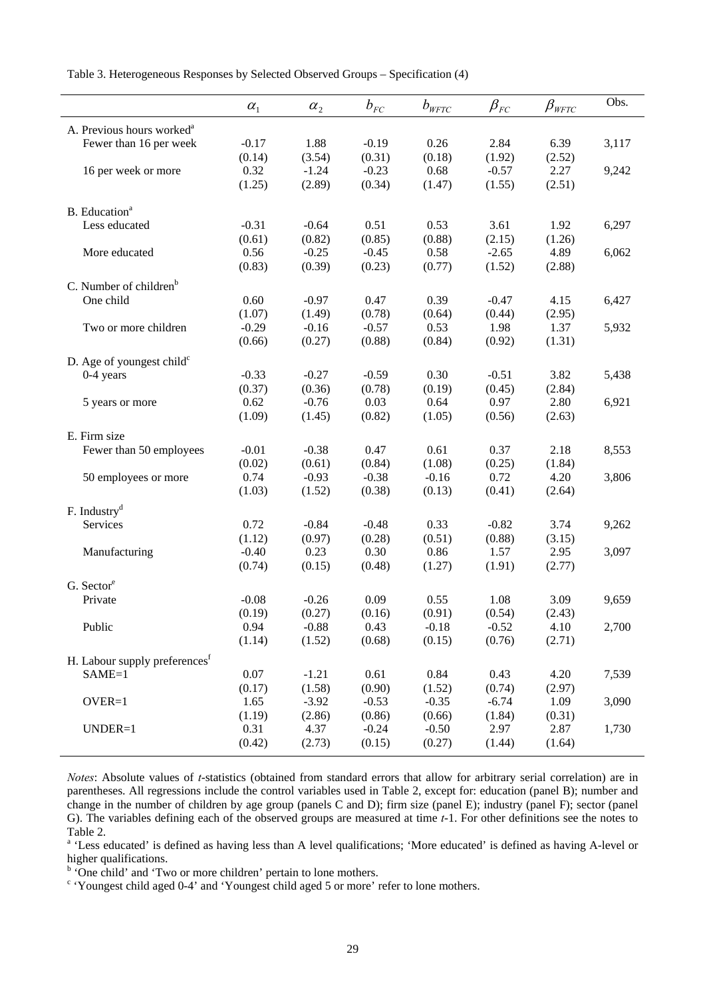Table 3. Heterogeneous Responses by Selected Observed Groups – Specification (4)

|                                           | $\alpha_{1}$ | $\alpha_{2}$   | $b_{\rm\scriptscriptstyle FC}$ | $b_{\rm \scriptscriptstyle WFTC}$ | $\beta_{\rm\scriptscriptstyle FC}$ | $\beta_{\tiny WFTC}$ | Obs.  |
|-------------------------------------------|--------------|----------------|--------------------------------|-----------------------------------|------------------------------------|----------------------|-------|
| A. Previous hours worked <sup>a</sup>     |              |                |                                |                                   |                                    |                      |       |
| Fewer than 16 per week                    | $-0.17$      | 1.88           | $-0.19$                        | 0.26                              | 2.84                               | 6.39                 | 3,117 |
|                                           | (0.14)       | (3.54)         | (0.31)                         | (0.18)                            | (1.92)                             | (2.52)               |       |
| 16 per week or more                       | 0.32         | $-1.24$        | $-0.23$                        | 0.68                              | $-0.57$                            | 2.27                 | 9,242 |
|                                           | (1.25)       | (2.89)         | (0.34)                         | (1.47)                            | (1.55)                             | (2.51)               |       |
|                                           |              |                |                                |                                   |                                    |                      |       |
| B. Education <sup>a</sup>                 |              |                |                                |                                   |                                    |                      |       |
| Less educated                             | $-0.31$      | $-0.64$        | 0.51                           | 0.53                              | 3.61                               | 1.92                 | 6,297 |
|                                           | (0.61)       | (0.82)         | (0.85)                         | (0.88)                            | (2.15)                             | (1.26)               |       |
| More educated                             | 0.56         | $-0.25$        | $-0.45$                        | 0.58                              | $-2.65$                            | 4.89                 | 6,062 |
|                                           | (0.83)       | (0.39)         | (0.23)                         | (0.77)                            | (1.52)                             | (2.88)               |       |
| C. Number of children <sup>b</sup>        |              |                |                                |                                   |                                    |                      |       |
| One child                                 | 0.60         | $-0.97$        | 0.47                           | 0.39                              | $-0.47$                            | 4.15                 | 6,427 |
|                                           | (1.07)       | (1.49)         | (0.78)                         | (0.64)                            | (0.44)                             | (2.95)               |       |
| Two or more children                      | $-0.29$      | $-0.16$        | $-0.57$                        | 0.53                              | 1.98                               | 1.37                 | 5,932 |
|                                           | (0.66)       | (0.27)         | (0.88)                         | (0.84)                            | (0.92)                             | (1.31)               |       |
| D. Age of youngest child $c$              |              |                |                                |                                   |                                    |                      |       |
| $0-4$ years                               | $-0.33$      | $-0.27$        | $-0.59$                        | 0.30                              | $-0.51$                            | 3.82                 | 5,438 |
|                                           | (0.37)       | (0.36)         | (0.78)                         | (0.19)                            | (0.45)                             | (2.84)               |       |
| 5 years or more                           | 0.62         | $-0.76$        | 0.03                           | 0.64                              | 0.97                               | 2.80                 | 6,921 |
|                                           | (1.09)       | (1.45)         | (0.82)                         | (1.05)                            | (0.56)                             | (2.63)               |       |
|                                           |              |                |                                |                                   |                                    |                      |       |
| E. Firm size                              |              |                |                                |                                   |                                    |                      |       |
| Fewer than 50 employees                   | $-0.01$      | $-0.38$        | 0.47                           | 0.61                              | 0.37                               | 2.18                 | 8,553 |
|                                           | (0.02)       | (0.61)         | (0.84)                         | (1.08)                            | (0.25)                             | (1.84)               |       |
| 50 employees or more                      | 0.74         | $-0.93$        | $-0.38$                        | $-0.16$                           | 0.72                               | 4.20                 | 3,806 |
|                                           | (1.03)       | (1.52)         | (0.38)                         | (0.13)                            | (0.41)                             | (2.64)               |       |
| F. Industry <sup>d</sup>                  |              |                |                                |                                   |                                    |                      |       |
| Services                                  | 0.72         | $-0.84$        | $-0.48$                        | 0.33                              | $-0.82$                            | 3.74                 | 9,262 |
|                                           | (1.12)       | (0.97)         | (0.28)                         | (0.51)                            | (0.88)                             | (3.15)               |       |
| Manufacturing                             | $-0.40$      | 0.23           | 0.30                           | 0.86                              | 1.57                               | 2.95                 | 3,097 |
|                                           | (0.74)       | (0.15)         | (0.48)                         | (1.27)                            | (1.91)                             | (2.77)               |       |
| G. Sector <sup>e</sup>                    |              |                |                                |                                   |                                    |                      |       |
| Private                                   | $-0.08$      | $-0.26$        | 0.09                           | 0.55                              | 1.08                               | 3.09                 | 9,659 |
|                                           | (0.19)       | (0.27)         | (0.16)                         | (0.91)                            | (0.54)                             | (2.43)               |       |
| Public                                    | 0.94         | $-0.88$        | 0.43                           | $-0.18$                           | $-0.52$                            | 4.10                 | 2,700 |
|                                           | (1.14)       | (1.52)         | (0.68)                         | (0.15)                            | (0.76)                             | (2.71)               |       |
|                                           |              |                |                                |                                   |                                    |                      |       |
| H. Labour supply preferences <sup>f</sup> |              |                |                                |                                   |                                    |                      |       |
| $SAME=1$                                  | 0.07         | $-1.21$        | 0.61                           | 0.84                              | 0.43                               | 4.20                 | 7,539 |
|                                           | (0.17)       | (1.58)         | (0.90)                         | (1.52)                            | (0.74)                             | (2.97)               |       |
| OVER=1                                    | 1.65         | $-3.92$        | $-0.53$                        | $-0.35$                           | $-6.74$                            | 1.09                 | 3,090 |
|                                           | (1.19)       | (2.86)         | (0.86)                         | (0.66)<br>$-0.50$                 | (1.84)<br>2.97                     | (0.31)               |       |
| UNDER=1                                   | 0.31         | 4.37<br>(2.73) | $-0.24$                        |                                   |                                    | 2.87                 | 1,730 |
|                                           | (0.42)       |                | (0.15)                         | (0.27)                            | (1.44)                             | (1.64)               |       |

*Notes*: Absolute values of *t*-statistics (obtained from standard errors that allow for arbitrary serial correlation) are in parentheses. All regressions include the control variables used in Table 2, except for: education (panel B); number and change in the number of children by age group (panels C and D); firm size (panel E); industry (panel F); sector (panel G). The variables defining each of the observed groups are measured at time *t*-1. For other definitions see the notes to Table 2.

<sup>a</sup> 'Less educated' is defined as having less than A level qualifications; 'More educated' is defined as having A-level or higher qualifications.<br><sup>b</sup> 'One child' and 'Two or more children' pertain to lone mothers.

<sup>c</sup> 'Youngest child aged 0-4' and 'Youngest child aged 5 or more' refer to lone mothers.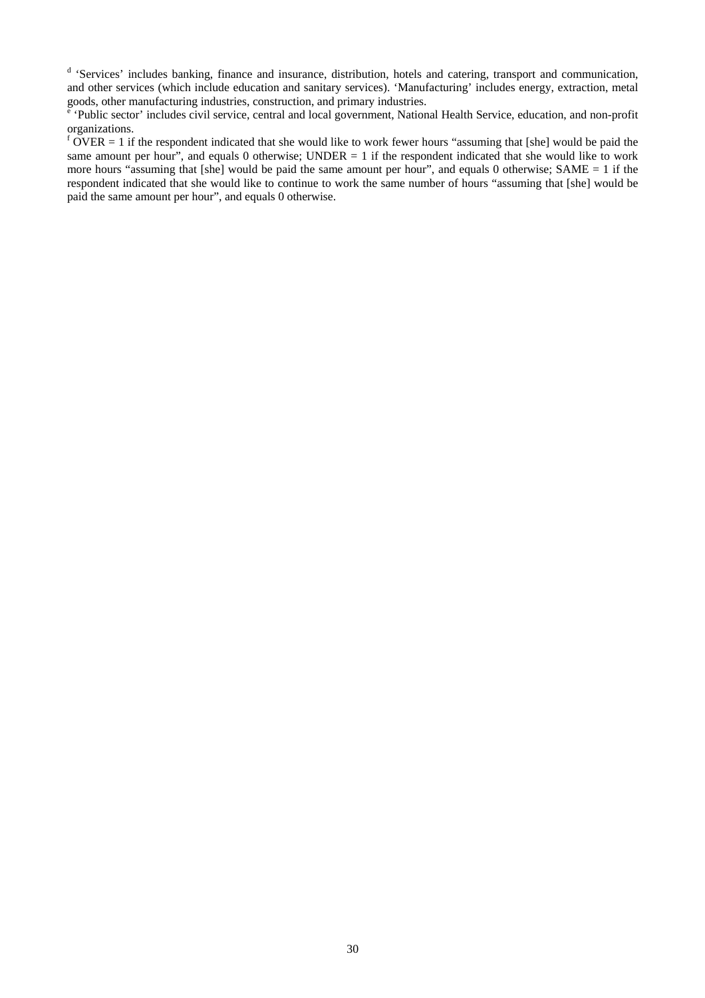<sup>d</sup> 'Services' includes banking, finance and insurance, distribution, hotels and catering, transport and communication, and other services (which include education and sanitary services). 'Manufacturing' includes energy, extraction, metal

goods, other manufacturing industries, construction, and primary industries.<br>
<sup>e</sup> 'Public sector' includes civil service, central and local government, National Health Service, education, and non-profit organizations.

 $f$  OVER = 1 if the respondent indicated that she would like to work fewer hours "assuming that [she] would be paid the same amount per hour", and equals 0 otherwise; UNDER  $= 1$  if the respondent indicated that she would like to work more hours "assuming that [she] would be paid the same amount per hour", and equals 0 otherwise; SAME = 1 if the respondent indicated that she would like to continue to work the same number of hours "assuming that [she] would be paid the same amount per hour", and equals 0 otherwise.